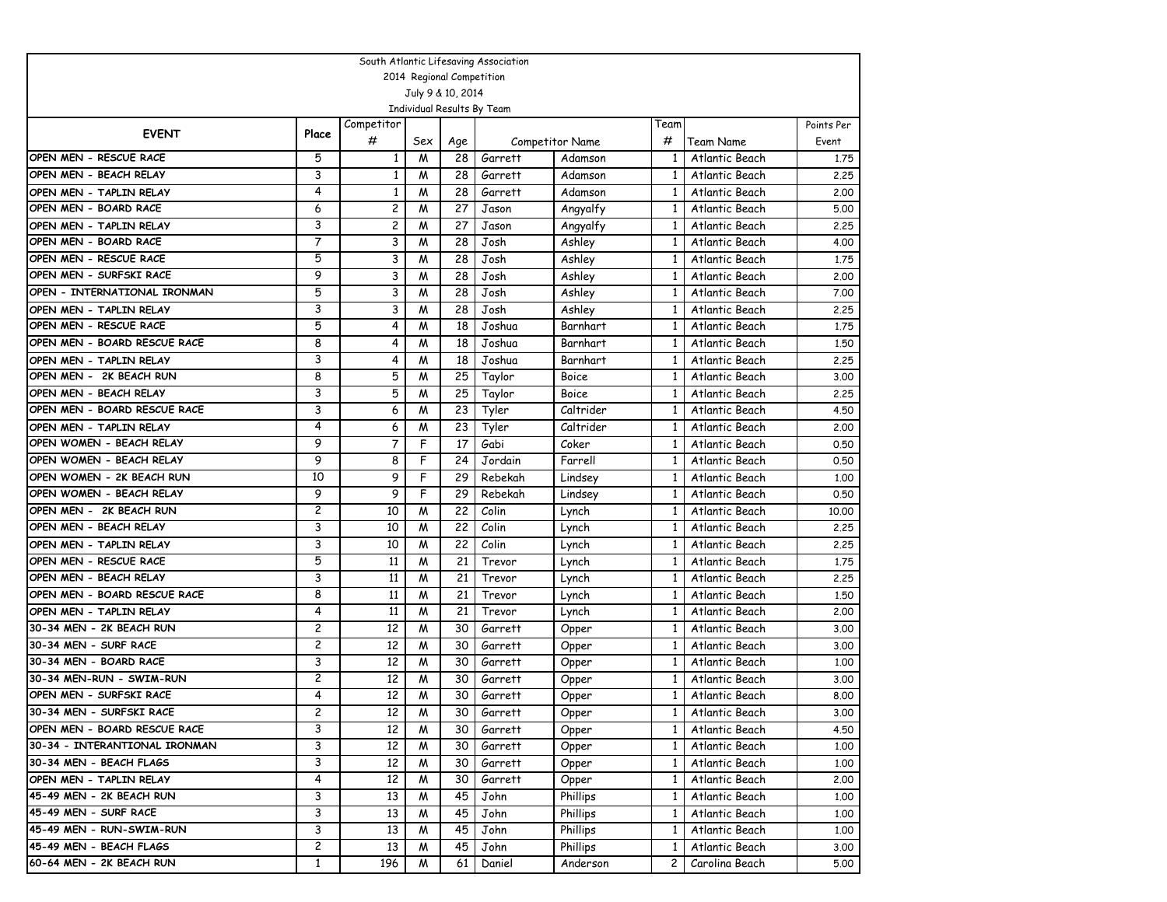| South Atlantic Lifesaving Association |                         |                 |                           |     |                            |                        |              |                  |            |  |  |  |
|---------------------------------------|-------------------------|-----------------|---------------------------|-----|----------------------------|------------------------|--------------|------------------|------------|--|--|--|
|                                       |                         |                 | 2014 Regional Competition |     |                            |                        |              |                  |            |  |  |  |
|                                       |                         |                 | July 9 & 10, 2014         |     |                            |                        |              |                  |            |  |  |  |
|                                       |                         |                 |                           |     | Individual Results By Team |                        |              |                  |            |  |  |  |
| <b>EVENT</b>                          | Place                   | Competitor      |                           |     |                            |                        | Team         |                  | Points Per |  |  |  |
|                                       |                         | #               | Sex                       | Age |                            | <b>Competitor Name</b> | #            | Team Name        | Event      |  |  |  |
| OPEN MEN - RESCUE RACE                | 5                       | 1               | M                         | 28  | Garrett                    | Adamson                | 1            | Atlantic Beach   | 1,75       |  |  |  |
| OPEN MEN - BEACH RELAY                | 3                       | $\mathbf{1}$    | M                         | 28  | Garrett                    | Adamson                | $\mathbf{1}$ | Atlantic Beach   | 2.25       |  |  |  |
| OPEN MEN - TAPLIN RELAY               | 4                       | $\mathbf{1}$    | M                         | 28  | Garrett                    | Adamson                | 1            | Atlantic Beach   | 2,00       |  |  |  |
| OPEN MEN - BOARD RACE                 | 6                       | $\overline{c}$  | M                         | 27  | Jason                      | Angyalfy               | $\mathbf{1}$ | Atlantic Beach   | 5.00       |  |  |  |
| OPEN MEN - TAPLIN RELAY               | 3                       | $\overline{c}$  | M                         | 27  | Jason                      | Angyalfy               | $\mathbf{1}$ | Atlantic Beach   | 2.25       |  |  |  |
| OPEN MEN - BOARD RACE                 | 7                       | 3               | M                         | 28  | Josh                       | Ashley                 | 1            | Atlantic Beach   | 4.00       |  |  |  |
| OPEN MEN - RESCUE RACE                | 5                       | 3               | M                         | 28  | Josh                       | Ashley                 | 1            | Atlantic Beach   | 1,75       |  |  |  |
| OPEN MEN - SURFSKI RACE               | 9                       | 3               | М                         | 28  | Josh                       | Ashley                 | $\mathbf{1}$ | Atlantic Beach   | 2,00       |  |  |  |
| OPEN - INTERNATIONAL IRONMAN          | 5                       | 3               | M                         | 28  | Josh                       | Ashley                 | $\mathbf{1}$ | Atlantic Beach   | 7.00       |  |  |  |
| OPEN MEN - TAPLIN RELAY               | 3                       | 3               | M                         | 28  | Josh                       | Ashley                 | $\mathbf{1}$ | Atlantic Beach   | 2.25       |  |  |  |
| OPEN MEN - RESCUE RACE                | 5                       | 4               | M                         | 18  | Joshua                     | Barnhart               | 1            | Atlantic Beach   | 1,75       |  |  |  |
| OPEN MEN - BOARD RESCUE RACE          | 8                       | 4               | M                         | 18  | Joshua                     | Barnhart               | $\mathbf{1}$ | Atlantic Beach   | 1.50       |  |  |  |
| OPEN MEN - TAPLIN RELAY               | 3                       | 4               | М                         | 18  | Joshua                     | Barnhart               | 1            | Atlantic Beach   | 2,25       |  |  |  |
| OPEN MEN - 2K BEACH RUN               | 8                       | 5               | М                         | 25  | Taylor                     | Boice                  | $\mathbf{1}$ | Atlantic Beach   | 3,00       |  |  |  |
| OPEN MEN - BEACH RELAY                | 3                       | 5               | M                         | 25  | Taylor                     | Boice                  | $\mathbf{1}$ | Atlantic Beach   | 2.25       |  |  |  |
| OPEN MEN - BOARD RESCUE RACE          | 3                       | 6               | M                         | 23  | Tyler                      | Caltrider              | 1            | Atlantic Beach   | 4.50       |  |  |  |
| OPEN MEN - TAPLIN RELAY               | 4                       | 6               | М                         | 23  | Tyler                      | Caltrider              | 1            | Atlantic Beach   | 2.00       |  |  |  |
| OPEN WOMEN - BEACH RELAY              | 9                       | $\overline{7}$  | F                         | 17  | Gabi                       | Coker                  | 1            | Atlantic Beach   | 0.50       |  |  |  |
| OPEN WOMEN - BEACH RELAY              | 9                       | 8               | F                         | 24  | Jordain                    | Farrell                | $\mathbf{1}$ | Atlantic Beach   | 0.50       |  |  |  |
| OPEN WOMEN - 2K BEACH RUN             | 10                      | 9               | F                         | 29  | Rebekah                    | Lindsey                | $\mathbf{1}$ | Atlantic Beach   | 1,00       |  |  |  |
| OPEN WOMEN - BEACH RELAY              | 9                       | 9               | F                         | 29  | Rebekah                    | Lindsey                | 1            | Atlantic Beach   | 0.50       |  |  |  |
| OPEN MEN - 2K BEACH RUN               | 2                       | 10              | M                         | 22  | Colin                      | Lynch                  | $\mathbf{1}$ | Atlantic Beach   | 10,00      |  |  |  |
| OPEN MEN - BEACH RELAY                | 3                       | 10              | M                         | 22  | Colin                      | Lynch                  | 1            | Atlantic Beach   | 2,25       |  |  |  |
| OPEN MEN - TAPLIN RELAY               | 3                       | 10              | M                         | 22  | Colin                      | Lynch                  | $\mathbf{1}$ | Atlantic Beach   | 2.25       |  |  |  |
| OPEN MEN - RESCUE RACE                | 5                       | 11              | M                         | 21  | Trevor                     | Lynch                  | $\mathbf{1}$ | Atlantic Beach   | 1.75       |  |  |  |
| OPEN MEN - BEACH RELAY                | 3                       | 11              | M                         | 21  | Trevor                     | Lynch                  | 1            | Atlantic Beach   | 2,25       |  |  |  |
| OPEN MEN - BOARD RESCUE RACE          | 8                       | 11              | M                         | 21  | Trevor                     | Lynch                  | 1            | Atlantic Beach   | 1.50       |  |  |  |
| OPEN MEN - TAPLIN RELAY               | 4                       | 11              | M                         | 21  | Trevor                     | Lynch                  | 1            | Atlantic Beach   | 2,00       |  |  |  |
| 30-34 MEN - 2K BEACH RUN              | 2                       | 12              | M                         | 30  | Garrett                    | Opper                  | $\mathbf{1}$ | Atlantic Beach   | 3.00       |  |  |  |
| 30-34 MEN - SURF RACE                 | $\overline{c}$          | 12              | M                         | 30  | Garrett                    | Opper                  | 1            | Atlantic Beach   | 3.00       |  |  |  |
| 30-34 MEN - BOARD RACE                | 3                       | 12              | M                         | 30  | Garrett                    | Opper                  | 1            | Atlantic Beach   | 1,00       |  |  |  |
| 30-34 MEN-RUN - SWIM-RUN              | $\overline{c}$          | 12              | M                         | 30  | Garrett                    | Opper                  | $\mathbf{1}$ | Atlantic Beach   | 3,00       |  |  |  |
| OPEN MEN - SURFSKI RACE               | $\overline{4}$          | 12              | M                         | 30  | Garrett                    | Opper                  | $\mathbf{1}$ | Atlantic Beach   | 8.00       |  |  |  |
| 30-34 MEN - SURFSKI RACE              | $\overline{\mathbf{c}}$ | $\overline{12}$ | $\overline{M}$            | 30  | Garrett                    | Upper                  |              | 1 Atlantic Beach | 3.00       |  |  |  |
| OPEN MEN - BOARD RESCUE RACE          | 3                       | 12              | M                         | 30  | Garrett                    | Opper                  | $1\vert$     | Atlantic Beach   | 4.50       |  |  |  |
| 30-34 - INTERANTIONAL IRONMAN         | 3                       | 12              | M                         | 30  | Garrett                    | Opper                  | $\mathbf{1}$ | Atlantic Beach   | 1.00       |  |  |  |
| 30-34 MEN - BEACH FLAGS               | 3                       | 12              | M                         | 30  | Garrett                    | Opper                  | $\mathbf{1}$ | Atlantic Beach   | 1.00       |  |  |  |
| OPEN MEN - TAPLIN RELAY               | 4                       | 12              | M                         | 30  | Garrett                    | Opper                  | $\mathbf{1}$ | Atlantic Beach   | 2.00       |  |  |  |
| 45-49 MEN - 2K BEACH RUN              | 3                       | 13              | M                         | 45  | John                       | Phillips               | $\mathbf{1}$ | Atlantic Beach   | 1.00       |  |  |  |
| 45-49 MEN - SURF RACE                 | 3                       | 13              | M                         | 45  | John                       | Phillips               | $\mathbf{1}$ | Atlantic Beach   | 1.00       |  |  |  |
| 45-49 MEN - RUN-SWIM-RUN              | 3                       | 13              | M                         | 45  | John                       | Phillips               | 1            | Atlantic Beach   | 1.00       |  |  |  |
| 45-49 MEN - BEACH FLAGS               | $\overline{c}$          | 13              | M                         | 45  | John                       | Phillips               | 1            | Atlantic Beach   | 3.00       |  |  |  |
| 60-64 MEN - 2K BEACH RUN              | $\mathbf{1}$            | 196             | M                         | 61  | Daniel                     | Anderson               | $\mathbf{2}$ | Carolina Beach   | 5.00       |  |  |  |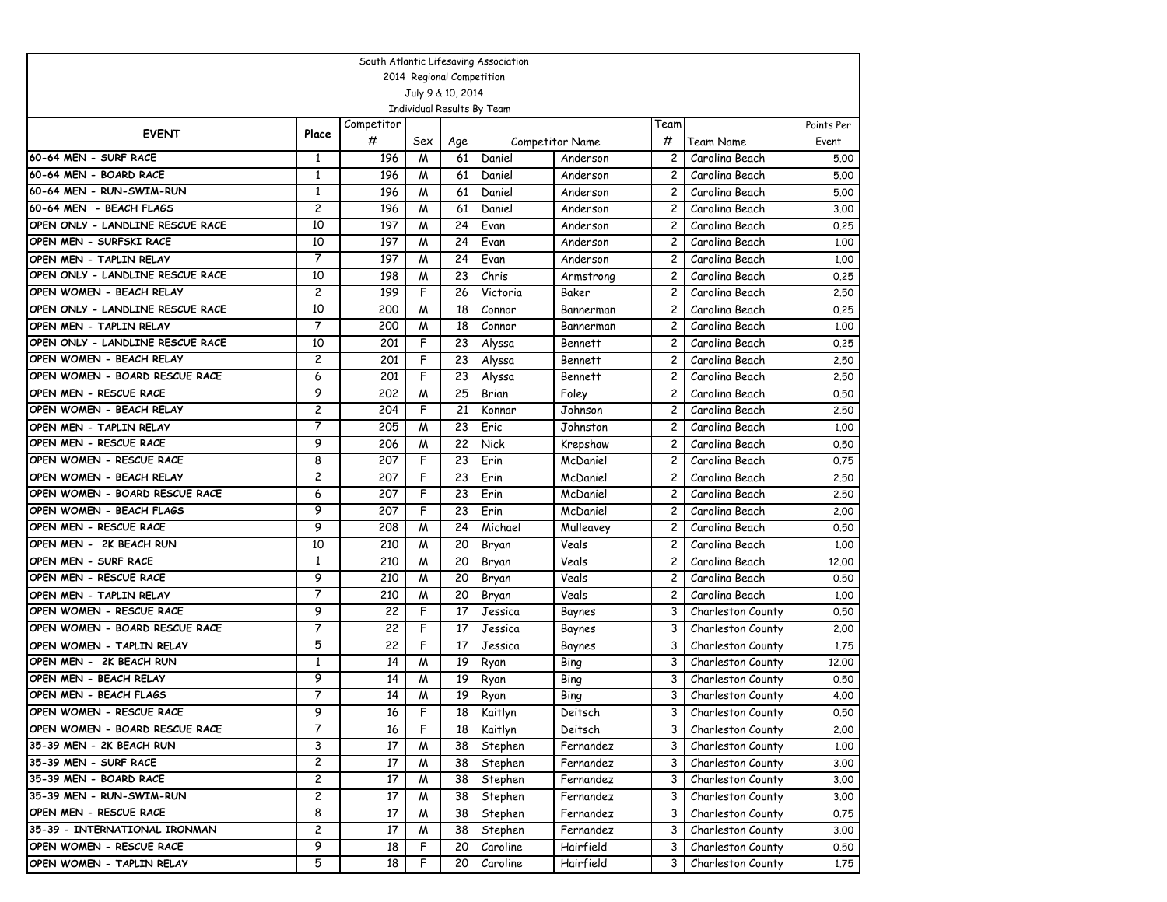| South Atlantic Lifesaving Association |                |            |     |                           |                            |                        |                |                   |            |  |  |
|---------------------------------------|----------------|------------|-----|---------------------------|----------------------------|------------------------|----------------|-------------------|------------|--|--|
|                                       |                |            |     | 2014 Regional Competition |                            |                        |                |                   |            |  |  |
|                                       |                |            |     | July 9 & 10, 2014         |                            |                        |                |                   |            |  |  |
|                                       |                |            |     |                           | Individual Results By Team |                        |                |                   |            |  |  |
| <b>EVENT</b>                          | Place          | Competitor |     |                           |                            |                        | Team           |                   | Points Per |  |  |
|                                       |                | #          | Sex | Age                       |                            | <b>Competitor Name</b> | #              | <b>Team Name</b>  | Event      |  |  |
| 60-64 MEN - SURF RACE                 | 1              | 196        | M   | 61                        | Daniel                     | Anderson               | 2              | Carolina Beach    | 5.00       |  |  |
| 60-64 MEN - BOARD RACE                | $\mathbf{1}$   | 196        | M   | 61                        | Daniel                     | Anderson               | $\overline{c}$ | Carolina Beach    | 5.00       |  |  |
| 60-64 MEN - RUN-SWIM-RUN              | $\mathbf{1}$   | 196        | M   | 61                        | Daniel                     | Anderson               | $\overline{c}$ | Carolina Beach    | 5.00       |  |  |
| 60-64 MEN - BEACH FLAGS               | 2              | 196        | M   | 61                        | Daniel                     | Anderson               | $\overline{c}$ | Carolina Beach    | 3.00       |  |  |
| OPEN ONLY - LANDLINE RESCUE RACE      | 10             | 197        | M   | 24                        | Evan                       | Anderson               | $\overline{c}$ | Carolina Beach    | 0.25       |  |  |
| OPEN MEN - SURFSKI RACE               | 10             | 197        | M   | 24                        | Evan                       | Anderson               | 2              | Carolina Beach    | 1.00       |  |  |
| OPEN MEN - TAPLIN RELAY               | $\overline{7}$ | 197        | M   | 24                        | Evan                       | Anderson               | $\overline{c}$ | Carolina Beach    | 1.00       |  |  |
| OPEN ONLY - LANDLINE RESCUE RACE      | 10             | 198        | M   | 23                        | Chris                      | Armstrong              | $\overline{c}$ | Carolina Beach    | 0.25       |  |  |
| OPEN WOMEN - BEACH RELAY              | $\overline{c}$ | 199        | F   | 26                        | Victoria                   | Baker                  | $\overline{c}$ | Carolina Beach    | 2.50       |  |  |
| OPEN ONLY - LANDLINE RESCUE RACE      | 10             | 200        | M   | 18                        | Connor                     | Bannerman              | $\overline{c}$ | Carolina Beach    | 0.25       |  |  |
| OPEN MEN - TAPLIN RELAY               | $\overline{7}$ | 200        | M   | 18                        | Connor                     | Bannerman              | 2              | Carolina Beach    | 1.00       |  |  |
| OPEN ONLY - LANDLINE RESCUE RACE      | 10             | 201        | F   | 23                        | Alyssa                     | Bennett                | $\overline{c}$ | Carolina Beach    | 0.25       |  |  |
| OPEN WOMEN - BEACH RELAY              | 2              | 201        | F   | 23                        | Alyssa                     | <b>Bennett</b>         | $\overline{c}$ | Carolina Beach    | 2.50       |  |  |
| OPEN WOMEN - BOARD RESCUE RACE        | 6              | 201        | F   | 23                        | Alyssa                     | <b>Bennett</b>         | $\overline{c}$ | Carolina Beach    | 2.50       |  |  |
| OPEN MEN - RESCUE RACE                | 9              | 202        | M   | 25                        | Brian                      | Foley                  | $\overline{c}$ | Carolina Beach    | 0.50       |  |  |
| OPEN WOMEN - BEACH RELAY              | 2              | 204        | F   | 21                        | Konnar                     | Johnson                | 2              | Carolina Beach    | 2.50       |  |  |
| OPEN MEN - TAPLIN RELAY               | $\overline{7}$ | 205        | M   | 23                        | Eric                       | Johnston               | $\overline{c}$ | Carolina Beach    | 1.00       |  |  |
| OPEN MEN - RESCUE RACE                | 9              | 206        | M   | 22                        | Nick                       | Krepshaw               | $\overline{c}$ | Carolina Beach    | 0.50       |  |  |
| OPEN WOMEN - RESCUE RACE              | 8              | 207        | F   | 23                        | Erin                       | McDaniel               | $\overline{c}$ | Carolina Beach    | 0.75       |  |  |
| OPEN WOMEN - BEACH RELAY              | 2              | 207        | F   | 23                        | Erin                       | McDaniel               | $\overline{c}$ | Carolina Beach    | 2.50       |  |  |
| OPEN WOMEN - BOARD RESCUE RACE        | 6              | 207        | F   | 23                        | Erin                       | McDaniel               | 2              | Carolina Beach    | 2.50       |  |  |
| OPEN WOMEN - BEACH FLAGS              | 9              | 207        | F   | 23                        | Erin                       | McDaniel               | $\overline{c}$ | Carolina Beach    | 2.00       |  |  |
| OPEN MEN - RESCUE RACE                | 9              | 208        | M   | 24                        | Michael                    | Mulleavey              | $\overline{c}$ | Carolina Beach    | 0.50       |  |  |
| OPEN MEN - 2K BEACH RUN               | 10             | 210        | M   | 20                        | Bryan                      | Veals                  | $\overline{c}$ | Carolina Beach    | 1.00       |  |  |
| OPEN MEN - SURF RACE                  | $\mathbf{1}$   | 210        | M   | 20                        | Bryan                      | Veals                  | $\overline{c}$ | Carolina Beach    | 12,00      |  |  |
| OPEN MEN - RESCUE RACE                | 9              | 210        | M   | 20                        | Bryan                      | Veals                  | 2              | Carolina Beach    | 0.50       |  |  |
| OPEN MEN - TAPLIN RELAY               | 7              | 210        | M   | 20                        | Bryan                      | Veals                  | $\overline{c}$ | Carolina Beach    | 1,00       |  |  |
| OPEN WOMEN - RESCUE RACE              | 9              | 22         | F   | 17                        | Jessica                    | Baynes                 | 3              | Charleston County | 0.50       |  |  |
| OPEN WOMEN - BOARD RESCUE RACE        | 7              | 22         | F   | 17                        | Jessica                    | Baynes                 | 3              | Charleston County | 2.00       |  |  |
| OPEN WOMEN - TAPLIN RELAY             | 5              | 22         | F   | 17                        | Jessica                    | Baynes                 | 3              | Charleston County | 1.75       |  |  |
| OPEN MEN - 2K BEACH RUN               | 1              | 14         | M   | 19                        | Ryan                       | Bing                   | 3              | Charleston County | 12,00      |  |  |
| OPEN MEN - BEACH RELAY                | 9              | 14         | M   | 19                        | Ryan                       | Bing                   | 3              | Charleston County | 0.50       |  |  |
| OPEN MEN - BEACH FLAGS                | 7              | 14         | M   | 19                        | Ryan                       | Bing                   | 3              | Charleston County | 4.00       |  |  |
| OPEN WOMEN - RESCUE RACE              | 9              | 16         | F   |                           | 18 Kaitlyn                 | Deitsch                | 3              | Charleston County | 0.50       |  |  |
| OPEN WOMEN - BOARD RESCUE RACE        | 7              | 16         | F   | 18                        | Kaitlyn                    | Deitsch                | 3              | Charleston County | 2.00       |  |  |
| 35-39 MEN - 2K BEACH RUN              | 3              | 17         | M   | 38                        | Stephen                    | Fernandez              | 3              | Charleston County | 1.00       |  |  |
| 35-39 MEN - SURF RACE                 | 2              | 17         | M   | 38                        | Stephen                    | Fernandez              | 3              | Charleston County | 3.00       |  |  |
| 35-39 MEN - BOARD RACE                | $\overline{c}$ | 17         | M   | 38                        | Stephen                    | Fernandez              | 3              | Charleston County | 3.00       |  |  |
| 35-39 MEN - RUN-SWIM-RUN              | 2              | 17         | M   | 38                        | Stephen                    | Fernandez              | 3              | Charleston County | 3.00       |  |  |
| OPEN MEN - RESCUE RACE                | 8              | 17         | M   | 38                        | Stephen                    | Fernandez              | 3              | Charleston County | 0.75       |  |  |
| 35-39 - INTERNATIONAL IRONMAN         | 2              | 17         | M   | 38                        | Stephen                    | Fernandez              | 3              | Charleston County | 3.00       |  |  |
| OPEN WOMEN - RESCUE RACE              | 9              | 18         | F   | 20                        | Caroline                   | Hairfield              | 3              | Charleston County | 0.50       |  |  |
| OPEN WOMEN - TAPLIN RELAY             | 5              | 18         | F   | 20                        | Caroline                   | Hairfield              | 3              | Charleston County | 1.75       |  |  |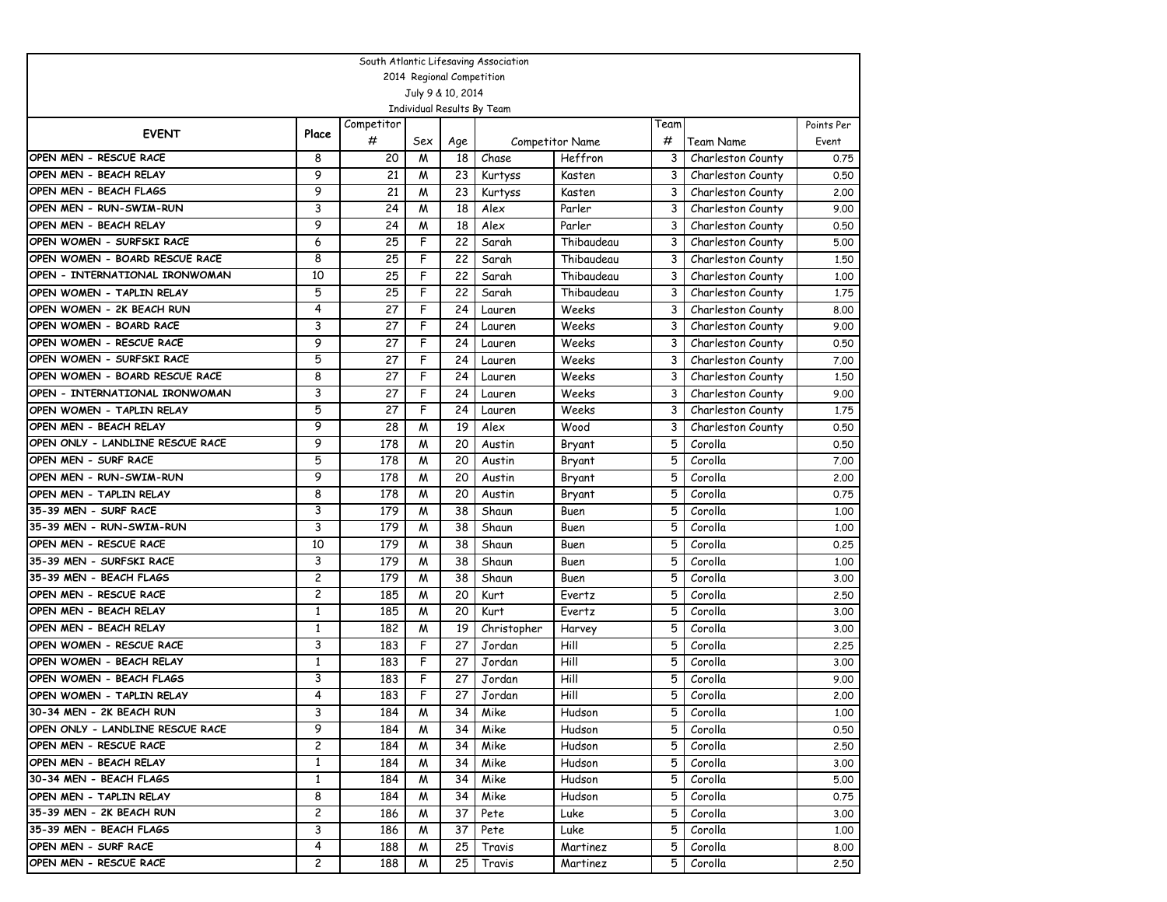| South Atlantic Lifesaving Association |                         |            |                |                           |                            |                        |      |                   |            |  |  |
|---------------------------------------|-------------------------|------------|----------------|---------------------------|----------------------------|------------------------|------|-------------------|------------|--|--|
|                                       |                         |            |                | 2014 Regional Competition |                            |                        |      |                   |            |  |  |
|                                       |                         |            |                | July 9 & 10, 2014         |                            |                        |      |                   |            |  |  |
|                                       |                         |            |                |                           | Individual Results By Team |                        |      |                   |            |  |  |
| <b>EVENT</b>                          | Place                   | Competitor |                |                           |                            |                        | Team |                   | Points Per |  |  |
|                                       |                         | #          | Sex            | Age                       |                            | <b>Competitor Name</b> | #    | Team Name         | Event      |  |  |
| OPEN MEN - RESCUE RACE                | 8                       | 20         | M              | 18                        | Chase                      | Heffron                | 3    | Charleston County | 0.75       |  |  |
| OPEN MEN - BEACH RELAY                | 9                       | 21         | M              | 23                        | Kurtyss                    | Kasten                 | 3    | Charleston County | 0.50       |  |  |
| OPEN MEN - BEACH FLAGS                | 9                       | 21         | M              | 23                        | Kurtyss                    | Kasten                 | 3    | Charleston County | 2,00       |  |  |
| OPEN MEN - RUN-SWIM-RUN               | 3                       | 24         | M              | 18                        | Alex                       | Parler                 | 3    | Charleston County | 9.00       |  |  |
| OPEN MEN - BEACH RELAY                | 9                       | 24         | M              | 18                        | Alex                       | Parler                 | 3    | Charleston County | 0.50       |  |  |
| OPEN WOMEN - SURFSKI RACE             | 6                       | 25         | F              | 22                        | Sarah                      | Thibaudeau             | 3    | Charleston County | 5.00       |  |  |
| OPEN WOMEN - BOARD RESCUE RACE        | 8                       | 25         | F              | 22                        | Sarah                      | Thibaudeau             | 3    | Charleston County | 1.50       |  |  |
| OPEN - INTERNATIONAL IRONWOMAN        | 10                      | 25         | F              | 22                        | Sarah                      | Thibaudeau             | 3    | Charleston County | 1,00       |  |  |
| OPEN WOMEN - TAPLIN RELAY             | 5                       | 25         | F              | 22                        | Sarah                      | Thibaudeau             | 3    | Charleston County | 1.75       |  |  |
| OPEN WOMEN - 2K BEACH RUN             | 4                       | 27         | F              | 24                        | Lauren                     | Weeks                  | 3    | Charleston County | 8.00       |  |  |
| OPEN WOMEN - BOARD RACE               | 3                       | 27         | F              | 24                        | Lauren                     | Weeks                  | 3    | Charleston County | 9.00       |  |  |
| OPEN WOMEN - RESCUE RACE              | 9                       | 27         | F              | 24                        | Lauren                     | Weeks                  | 3    | Charleston County | 0.50       |  |  |
| OPEN WOMEN - SURFSKI RACE             | 5                       | 27         | F              | 24                        | Lauren                     | Weeks                  | 3    | Charleston County | 7.00       |  |  |
| OPEN WOMEN - BOARD RESCUE RACE        | 8                       | 27         | F              | 24                        | Lauren                     | Weeks                  | 3    | Charleston County | 1.50       |  |  |
| OPEN - INTERNATIONAL IRONWOMAN        | 3                       | 27         | F              | 24                        | Lauren                     | Weeks                  | 3    | Charleston County | 9.00       |  |  |
| OPEN WOMEN - TAPLIN RELAY             | 5                       | 27         | F              | 24                        | Lauren                     | Weeks                  | 3    | Charleston County | 1.75       |  |  |
| OPEN MEN - BEACH RELAY                | 9                       | 28         | M              | 19                        | Alex                       | Wood                   | 3    | Charleston County | 0.50       |  |  |
| OPEN ONLY - LANDLINE RESCUE RACE      | 9                       | 178        | M              | 20                        | Austin                     | Bryant                 | 5    | Corolla           | 0.50       |  |  |
| OPEN MEN - SURF RACE                  | 5                       | 178        | M              | 20                        | Austin                     | Bryant                 | 5    | Corolla           | 7.00       |  |  |
| OPEN MEN - RUN-SWIM-RUN               | 9                       | 178        | M              | 20                        | Austin                     | Bryant                 | 5    | Corolla           | 2,00       |  |  |
| OPEN MEN - TAPLIN RELAY               | 8                       | 178        | M              | 20                        | Austin                     | Bryant                 | 5    | Corolla           | 0.75       |  |  |
| 35-39 MEN - SURF RACE                 | 3                       | 179        | M              | 38                        | Shaun                      | Buen                   | 5    | Corolla           | 1,00       |  |  |
| 35-39 MEN - RUN-SWIM-RUN              | 3                       | 179        | M              | 38                        | Shaun                      | Buen                   | 5    | Corolla           | 1,00       |  |  |
| OPEN MEN - RESCUE RACE                | 10                      | 179        | M              | 38                        | Shaun                      | Buen                   | 5    | Corolla           | 0.25       |  |  |
| 35-39 MEN - SURFSKI RACE              | 3                       | 179        | M              | 38                        | Shaun                      | Buen                   | 5    | Corolla           | 1,00       |  |  |
| 35-39 MEN - BEACH FLAGS               | $\overline{\mathbf{c}}$ | 179        | M              | 38                        | Shaun                      | Buen                   | 5    | Corolla           | 3,00       |  |  |
| OPEN MEN - RESCUE RACE                | $\overline{\mathbf{c}}$ | 185        | M              | 20                        | Kurt                       | Evertz                 | 5    | Corolla           | 2.50       |  |  |
| OPEN MEN - BEACH RELAY                | $\mathbf{1}$            | 185        | M              | 20                        | Kurt                       | Evertz                 | 5    | Corolla           | 3.00       |  |  |
| OPEN MEN - BEACH RELAY                | $\mathbf{1}$            | 182        | M              | 19                        | Christopher                | Harvey                 | 5    | Corolla           | 3.00       |  |  |
| OPEN WOMEN - RESCUE RACE              | 3                       | 183        | F              | 27                        | Jordan                     | Hill                   | 5    | Corolla           | 2.25       |  |  |
| OPEN WOMEN - BEACH RELAY              | 1                       | 183        | F              | 27                        | Jordan                     | Hill                   | 5    | Corolla           | 3,00       |  |  |
| OPEN WOMEN - BEACH FLAGS              | 3                       | 183        | F              | 27                        | Jordan                     | Hill                   | 5    | Corolla           | 9.00       |  |  |
| OPEN WOMEN - TAPLIN RELAY             | $\overline{4}$          | 183        | F              | 27                        | Jordan                     | Hill                   | 5    | Corolla           | 2,00       |  |  |
| 30-34 MEN - 2K BEACH RUN              | 3                       | 184        | $\overline{M}$ |                           | 34 Mike                    | Hudson                 | 5    | Corolla           | 1.00       |  |  |
| OPEN ONLY - LANDLINE RESCUE RACE      | 9                       | 184        | M              | 34 I                      | Mike                       | Hudson                 | 5.   | Corolla           | 0.50       |  |  |
| OPEN MEN - RESCUE RACE                | $\overline{c}$          | 184        | M              | 34 I                      | Mike                       | Hudson                 | 5    | Corolla           | 2.50       |  |  |
| OPEN MEN - BEACH RELAY                | $\mathbf{1}$            | 184        | M              | 34 I                      | Mike                       | Hudson                 | 5    | Corolla           | 3.00       |  |  |
| 30-34 MEN - BEACH FLAGS               | $\mathbf{1}$            | 184        | M              | 34                        | Mike                       | Hudson                 | 5.   | Corolla           | 5.00       |  |  |
| OPEN MEN - TAPLIN RELAY               | 8                       | 184        | M              | 34 I                      | Mike                       | Hudson                 | 5    | Corolla           | 0.75       |  |  |
| 35-39 MEN - 2K BEACH RUN              | $\overline{c}$          | 186        | M              | 37                        | Pete                       | Luke                   | 5    | Corolla           | 3.00       |  |  |
| 35-39 MEN - BEACH FLAGS               | 3                       | 186        | M              | 37                        | Pete                       | Luke                   | 5    | Corolla           | 1.00       |  |  |
| OPEN MEN - SURF RACE                  | 4                       | 188        | M              | 25                        | Travis                     | Martinez               | 5    | Corolla           | 8.00       |  |  |
| OPEN MEN - RESCUE RACE                | $\overline{c}$          | 188        | M              | 25                        | Travis                     | Martinez               | 5    | Corolla           | 2.50       |  |  |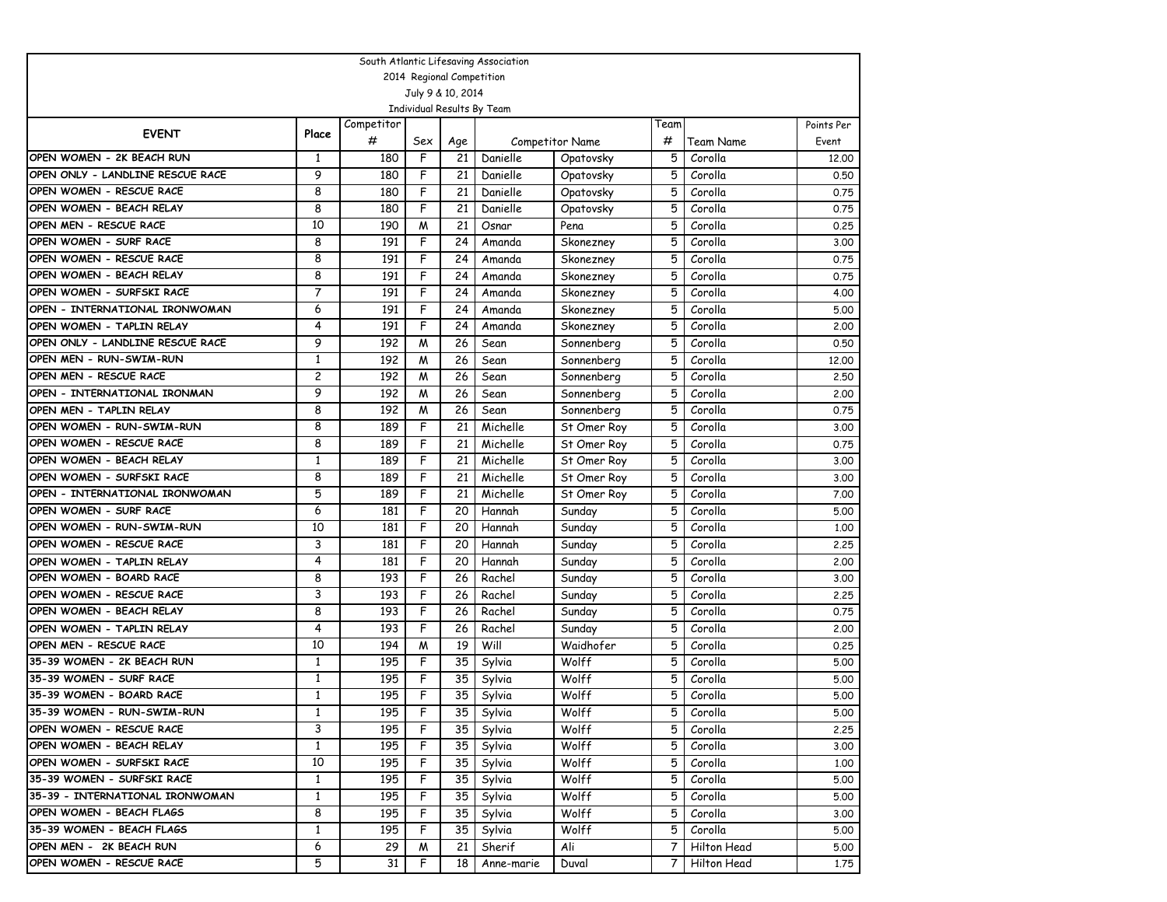| South Atlantic Lifesaving Association |                           |            |     |                   |                            |                 |              |             |            |  |  |  |
|---------------------------------------|---------------------------|------------|-----|-------------------|----------------------------|-----------------|--------------|-------------|------------|--|--|--|
|                                       | 2014 Regional Competition |            |     |                   |                            |                 |              |             |            |  |  |  |
|                                       |                           |            |     | July 9 & 10, 2014 |                            |                 |              |             |            |  |  |  |
|                                       |                           |            |     |                   | Individual Results By Team |                 |              |             |            |  |  |  |
| <b>EVENT</b>                          | Place                     | Competitor |     |                   |                            |                 | Team         |             | Points Per |  |  |  |
|                                       |                           | #          | Sex | Age               |                            | Competitor Name | #            | Team Name   | Event      |  |  |  |
| OPEN WOMEN - 2K BEACH RUN             | 1                         | 180        | F   | 21                | Danielle                   | Opatovsky       | 5            | Corolla     | 12.00      |  |  |  |
| OPEN ONLY - LANDLINE RESCUE RACE      | 9                         | 180        | F   | 21                | Danielle                   | Opatovsky       | 5            | Corolla     | 0.50       |  |  |  |
| OPEN WOMEN - RESCUE RACE              | 8                         | 180        | F   | 21                | Danielle                   | Opatovsky       | 5            | Corolla     | 0.75       |  |  |  |
| OPEN WOMEN - BEACH RELAY              | 8                         | 180        | F   | 21                | Danielle                   | Opatovsky       | 5            | Corolla     | 0.75       |  |  |  |
| OPEN MEN - RESCUE RACE                | 10                        | 190        | M   | 21                | Osnar                      | Pena            | 5            | Corolla     | 0.25       |  |  |  |
| OPEN WOMEN - SURF RACE                | 8                         | 191        | F   | 24                | Amanda                     | Skonezney       | 5            | Corolla     | 3.00       |  |  |  |
| OPEN WOMEN - RESCUE RACE              | 8                         | 191        | F   | 24                | Amanda                     | Skonezney       | 5            | Corolla     | 0.75       |  |  |  |
| OPEN WOMEN - BEACH RELAY              | 8                         | 191        | F   | 24                | Amanda                     | Skonezney       | 5            | Corolla     | 0.75       |  |  |  |
| OPEN WOMEN - SURFSKI RACE             | 7                         | 191        | F   | 24                | Amanda                     | Skonezney       | 5            | Corolla     | 4.00       |  |  |  |
| OPEN - INTERNATIONAL IRONWOMAN        | 6                         | 191        | F   | 24                | Amanda                     | Skonezney       | 5            | Corolla     | 5.00       |  |  |  |
| OPEN WOMEN - TAPLIN RELAY             | $\overline{4}$            | 191        | F   | 24                | Amanda                     | Skonezney       | 5            | Corolla     | 2,00       |  |  |  |
| OPEN ONLY - LANDLINE RESCUE RACE      | 9                         | 192        | M   | 26                | Sean                       | Sonnenberg      | 5            | Corolla     | 0.50       |  |  |  |
| OPEN MEN - RUN-SWIM-RUN               | $\mathbf{1}$              | 192        | M   | 26                | Sean                       | Sonnenberg      | 5            | Corolla     | 12.00      |  |  |  |
| OPEN MEN - RESCUE RACE                | $\overline{\mathbf{c}}$   | 192        | M   | 26                | Sean                       | Sonnenberg      | 5            | Corolla     | 2.50       |  |  |  |
| OPEN - INTERNATIONAL IRONMAN          | 9                         | 192        | M   | 26                | Sean                       | Sonnenberg      | 5            | Corolla     | 2,00       |  |  |  |
| OPEN MEN - TAPLIN RELAY               | 8                         | 192        | M   | 26                | Sean                       | Sonnenberg      | 5            | Corolla     | 0.75       |  |  |  |
| OPEN WOMEN - RUN-SWIM-RUN             | 8                         | 189        | F   | 21                | Michelle                   | St Omer Roy     | 5            | Corolla     | 3.00       |  |  |  |
| OPEN WOMEN - RESCUE RACE              | 8                         | 189        | F   | 21                | Michelle                   | St Omer Roy     | 5            | Corolla     | 0.75       |  |  |  |
| OPEN WOMEN - BEACH RELAY              | $\mathbf{1}$              | 189        | F   | 21                | Michelle                   | St Omer Roy     | 5            | Corolla     | 3.00       |  |  |  |
| OPEN WOMEN - SURFSKI RACE             | 8                         | 189        | F   | 21                | Michelle                   | St Omer Roy     | 5            | Corolla     | 3.00       |  |  |  |
| OPEN - INTERNATIONAL IRONWOMAN        | 5                         | 189        | F   | 21                | Michelle                   | St Omer Roy     | 5            | Corolla     | 7.00       |  |  |  |
| OPEN WOMEN - SURF RACE                | 6                         | 181        | F   | 20                | Hannah                     | Sunday          | 5            | Corolla     | 5.00       |  |  |  |
| OPEN WOMEN - RUN-SWIM-RUN             | 10                        | 181        | F   | 20                | Hannah                     | Sunday          | 5            | Corolla     | 1.00       |  |  |  |
| OPEN WOMEN - RESCUE RACE              | 3                         | 181        | F   | 20                | Hannah                     | Sunday          | 5            | Corolla     | 2,25       |  |  |  |
| OPEN WOMEN - TAPLIN RELAY             | $\overline{4}$            | 181        | F   | 20                | Hannah                     | Sunday          | 5            | Corolla     | 2,00       |  |  |  |
| OPEN WOMEN - BOARD RACE               | 8                         | 193        | F   | 26                | Rachel                     | Sunday          | 5            | Corolla     | 3.00       |  |  |  |
| OPEN WOMEN - RESCUE RACE              | 3                         | 193        | F   | 26                | Rachel                     | Sunday          | 5            | Corolla     | 2,25       |  |  |  |
| OPEN WOMEN - BEACH RELAY              | 8                         | 193        | F   | 26                | Rachel                     | Sunday          | 5            | Corolla     | 0.75       |  |  |  |
| OPEN WOMEN - TAPLIN RELAY             | 4                         | 193        | F   | 26                | Rachel                     | Sunday          | 5            | Corolla     | 2,00       |  |  |  |
| OPEN MEN - RESCUE RACE                | 10                        | 194        | M   | 19                | Will                       | Waidhofer       | 5            | Corolla     | 0.25       |  |  |  |
| 35-39 WOMEN - 2K BEACH RUN            | $\mathbf{1}$              | 195        | F   | 35                | Sylvia                     | Wolff           | 5            | Corolla     | 5.00       |  |  |  |
| 35-39 WOMEN - SURF RACE               | 1                         | 195        | F   | 35                | Sylvia                     | Wolff           | 5            | Corolla     | 5.00       |  |  |  |
| 35-39 WOMEN - BOARD RACE              | 1                         | 195        | F   | 35                | Sylvia                     | Wolff           | 5            | Corolla     | 5.00       |  |  |  |
| 35-39 WOMEN - RUN-SWIM-RUN            | $\mathbf{1}$              | 195        | F   | 35                | Sylvia                     | Wolff           |              | 5 Corolla   | 5.00       |  |  |  |
| OPEN WOMEN - RESCUE RACE              | 3                         | 195        | F   | 35                | Sylvia                     | Wolff           | 5            | Corolla     | 2.25       |  |  |  |
| OPEN WOMEN - BEACH RELAY              | $\mathbf{1}$              | 195        | F   | 35 I              | Sylvia                     | Wolff           | 5.           | Corolla     | 3.00       |  |  |  |
| OPEN WOMEN - SURFSKI RACE             | 10                        | 195        | F   | 35                | Sylvia                     | Wolff           | 5            | Corolla     | 1.00       |  |  |  |
| 35-39 WOMEN - SURFSKI RACE            | $\mathbf{1}$              | 195        | F   | 35                | Sylvia                     | Wolff           | 5            | Corolla     | 5.00       |  |  |  |
| 35-39 - INTERNATIONAL IRONWOMAN       | $\mathbf{1}$              | 195        | F   | 35                | Sylvia                     | Wolff           | 5.           | Corolla     | 5.00       |  |  |  |
| OPEN WOMEN - BEACH FLAGS              | 8                         | 195        | F   | 35                | Sylvia                     | Wolff           | 5            | Corolla     | 3.00       |  |  |  |
| 35-39 WOMEN - BEACH FLAGS             | 1                         | 195        | F   | 35                | Sylvia                     | Wolff           | 5            | Corolla     | 5.00       |  |  |  |
| OPEN MEN - 2K BEACH RUN               | 6                         | 29         | M   | 21                | Sherif                     | Ali             | 7            | Hilton Head | 5.00       |  |  |  |
| OPEN WOMEN - RESCUE RACE              | 5                         | 31         | F   | 18                | Anne-marie                 | Duval           | $\mathbf{7}$ | Hilton Head | 1.75       |  |  |  |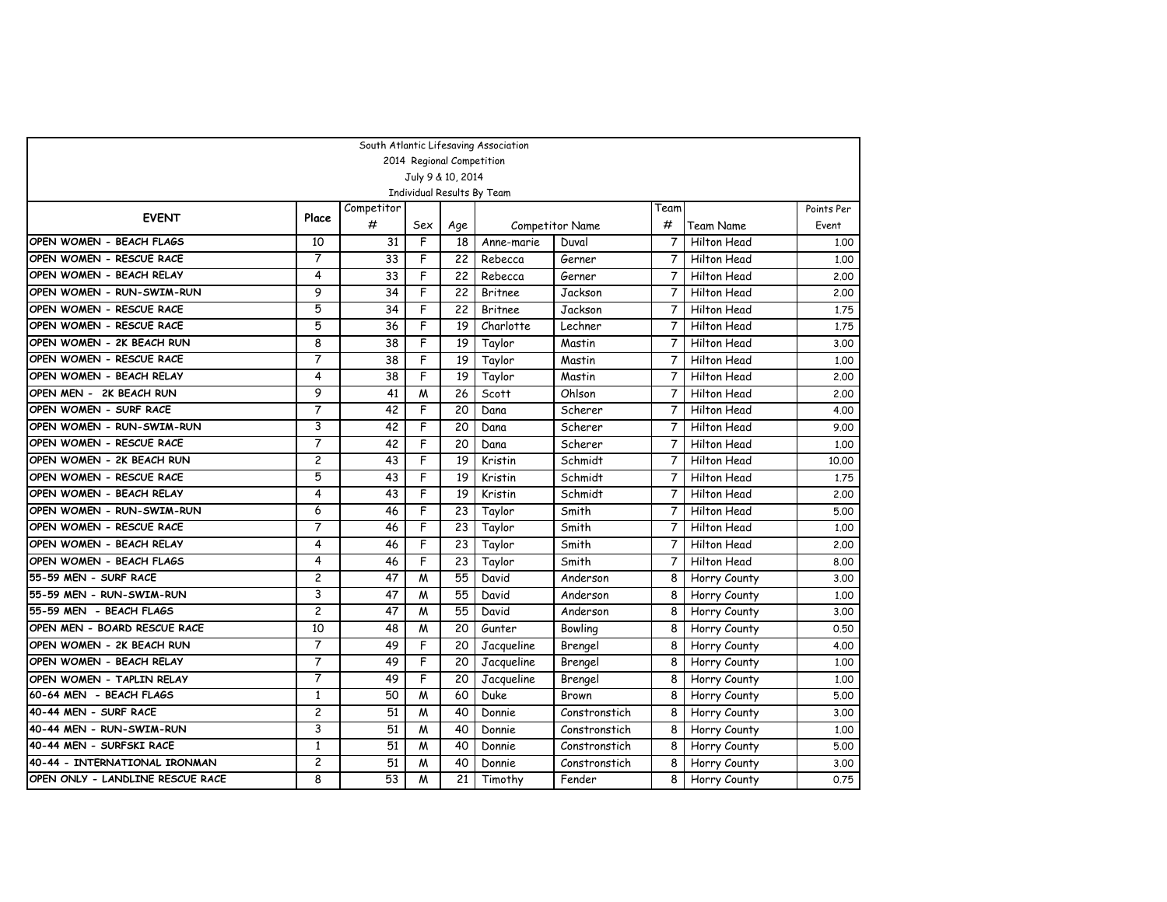|                                  |                |                 |     |                           | South Atlantic Lifesaving Association |                        |                |              |            |
|----------------------------------|----------------|-----------------|-----|---------------------------|---------------------------------------|------------------------|----------------|--------------|------------|
|                                  |                |                 |     | 2014 Regional Competition |                                       |                        |                |              |            |
|                                  |                |                 |     | July 9 & 10, 2014         |                                       |                        |                |              |            |
|                                  |                |                 |     |                           | Individual Results By Team            |                        |                |              |            |
| <b>EVENT</b>                     | Place          | Competitor      |     |                           |                                       |                        | Team           |              | Points Per |
|                                  |                | #               | Sex | Age                       |                                       | <b>Competitor Name</b> | #              | Team Name    | Event      |
| OPEN WOMEN - BEACH FLAGS         | 10             | 31              | F   | 18                        | Anne-marie                            | Duval                  | $\overline{7}$ | Hilton Head  | 1,00       |
| OPEN WOMEN - RESCUE RACE         | 7              | 33              | F   | 22                        | Rebecca                               | Gerner                 | $\overline{7}$ | Hilton Head  | 1.00       |
| OPEN WOMEN - BEACH RELAY         | 4              | 33              | F   | 22                        | Rebecca                               | Gerner                 | $\overline{7}$ | Hilton Head  | 2.00       |
| OPEN WOMEN - RUN-SWIM-RUN        | 9              | 34              | F   | 22                        | Britnee                               | Jackson                | 7              | Hilton Head  | 2,00       |
| OPEN WOMEN - RESCUE RACE         | 5              | 34              | F   | 22                        | <b>Britnee</b>                        | Jackson                | 7              | Hilton Head  | 1.75       |
| OPEN WOMEN - RESCUE RACE         | $\overline{5}$ | 36              | F   | 19                        | Charlotte                             | Lechner                | $\overline{7}$ | Hilton Head  | 1.75       |
| OPEN WOMEN - 2K BEACH RUN        | 8              | 38              | F   | 19                        | Taylor                                | Mastin                 | $\overline{7}$ | Hilton Head  | 3.00       |
| OPEN WOMEN - RESCUE RACE         | 7              | 38              | F   | 19                        | Taylor                                | Mastin                 | 7              | Hilton Head  | 1,00       |
| OPEN WOMEN - BEACH RELAY         | 4              | 38              | F   | 19                        | Taylor                                | Mastin                 | $\overline{7}$ | Hilton Head  | 2.00       |
| OPEN MEN - 2K BEACH RUN          | 9              | 41              | M   | 26                        | Scott                                 | Ohlson                 | $\overline{7}$ | Hilton Head  | 2,00       |
| OPEN WOMEN - SURF RACE           | $\overline{7}$ | 42              | F   | 20                        | Dana                                  | Scherer                | $\overline{7}$ | Hilton Head  | 4.00       |
| OPEN WOMEN - RUN-SWIM-RUN        | 3              | 42              | F   | 20                        | Dana                                  | Scherer                | $\overline{7}$ | Hilton Head  | 9.00       |
| OPEN WOMEN - RESCUE RACE         | 7              | 42              | F   | 20                        | Dana                                  | Scherer                | $\overline{7}$ | Hilton Head  | 1,00       |
| OPEN WOMEN - 2K BEACH RUN        | $\overline{c}$ | 43              | F   | 19                        | Kristin                               | Schmidt                | $\overline{7}$ | Hilton Head  | 10,00      |
| OPEN WOMEN - RESCUE RACE         | 5              | 43              | F   | 19                        | Kristin                               | Schmidt                | 7              | Hilton Head  | 1.75       |
| OPEN WOMEN - BEACH RELAY         | 4              | 43              | F   | 19                        | Kristin                               | Schmidt                | 7              | Hilton Head  | 2.00       |
| OPEN WOMEN - RUN-SWIM-RUN        | 6              | 46              | F   | 23                        | Taylor                                | Smith                  | $\overline{7}$ | Hilton Head  | 5.00       |
| OPEN WOMEN - RESCUE RACE         | 7              | 46              | F   | 23                        | Taylor                                | Smith                  | $\overline{7}$ | Hilton Head  | 1,00       |
| OPEN WOMEN - BEACH RELAY         | 4              | 46              | F   | 23                        | Taylor                                | Smith                  | 7              | Hilton Head  | 2,00       |
| OPEN WOMEN - BEACH FLAGS         | 4              | 46              | F   | 23                        | Taylor                                | Smith                  | $\overline{7}$ | Hilton Head  | 8.00       |
| 55-59 MEN - SURF RACE            | 2              | 47              | M   | 55                        | David                                 | Anderson               | 8              | Horry County | 3.00       |
| 55-59 MEN - RUN-SWIM-RUN         | 3              | 47              | M   | 55                        | David                                 | Anderson               | 8              | Horry County | 1,00       |
| 55-59 MEN - BEACH FLAGS          | $\overline{c}$ | 47              | M   | 55                        | David                                 | Anderson               | 8              | Horry County | 3.00       |
| OPEN MEN - BOARD RESCUE RACE     | 10             | 48              | M   | 20                        | Gunter                                | Bowling                | 8              | Horry County | 0.50       |
| OPEN WOMEN - 2K BEACH RUN        | 7              | 49              | F   | 20                        | Jacqueline                            | Brengel                | 8              | Horry County | 4.00       |
| OPEN WOMEN - BEACH RELAY         | 7              | 49              | F   | 20                        | Jacqueline                            | Brengel                | 8              | Horry County | 1,00       |
| OPEN WOMEN - TAPLIN RELAY        | 7              | 49              | F   | 20                        | Jacqueline                            | Brengel                | 8              | Horry County | 1.00       |
| 60-64 MEN - BEACH FLAGS          | $\mathbf{1}$   | 50              | M   | 60                        | Duke                                  | <b>Brown</b>           | 8              | Horry County | 5.00       |
| 40-44 MEN - SURF RACE            | $\overline{c}$ | 51              | M   | 40                        | Donnie                                | Constronstich          | 8              | Horry County | 3.00       |
| 40-44 MEN - RUN-SWIM-RUN         | 3              | 51              | M   | 40                        | Donnie                                | Constronstich          | 8              | Horry County | 1.00       |
| 40-44 MEN - SURFSKI RACE         | $\mathbf{1}$   | 51              | M   | 40                        | Donnie                                | Constronstich          | 8              | Horry County | 5.00       |
| 40-44 - INTERNATIONAL IRONMAN    | $\overline{c}$ | $\overline{51}$ | M   | 40                        | Donnie                                | Constronstich          | 8              | Horry County | 3.00       |
| OPEN ONLY - LANDLINE RESCUE RACE | 8              | 53              | M   | 21                        | Timothy                               | Fender                 | 8              | Horry County | 0.75       |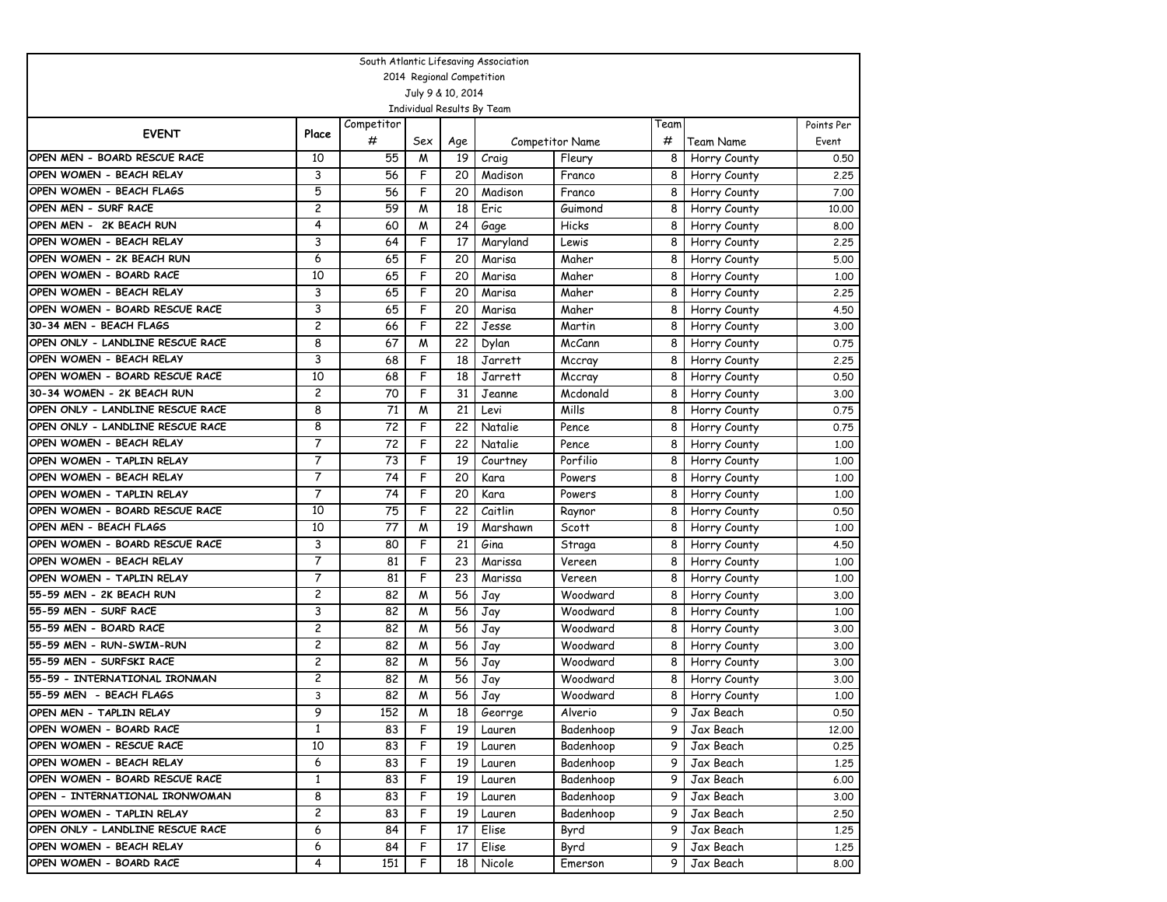| South Atlantic Lifesaving Association |                |            |                           |      |                            |                        |                |              |            |  |  |
|---------------------------------------|----------------|------------|---------------------------|------|----------------------------|------------------------|----------------|--------------|------------|--|--|
|                                       |                |            | 2014 Regional Competition |      |                            |                        |                |              |            |  |  |
|                                       |                |            | July 9 & 10, 2014         |      |                            |                        |                |              |            |  |  |
|                                       |                |            |                           |      | Individual Results By Team |                        |                |              |            |  |  |
| <b>EVENT</b>                          | Place          | Competitor |                           |      |                            |                        | Team           |              | Points Per |  |  |
|                                       |                | #          | Sex                       | Age  |                            | <b>Competitor Name</b> | #              | Team Name    | Event      |  |  |
| OPEN MEN - BOARD RESCUE RACE          | 10             | 55         | M                         | 19   | Craig                      | Fleury                 | 8              | Horry County | 0.50       |  |  |
| OPEN WOMEN - BEACH RELAY              | 3              | 56         | F                         | 20   | Madison                    | Franco                 | 8              | Horry County | 2.25       |  |  |
| OPEN WOMEN - BEACH FLAGS              | 5              | 56         | F                         | 20   | Madison                    | Franco                 | 8              | Horry County | 7.00       |  |  |
| OPEN MEN - SURF RACE                  | 2              | 59         | M                         | 18   | Eric                       | Guimond                | 8              | Horry County | 10,00      |  |  |
| OPEN MEN - 2K BEACH RUN               | 4              | 60         | M                         | 24   | Gage                       | Hicks                  | 8              | Horry County | 8.00       |  |  |
| OPEN WOMEN - BEACH RELAY              | 3              | 64         | F                         | 17   | Maryland                   | Lewis                  | 8              | Horry County | 2,25       |  |  |
| OPEN WOMEN - 2K BEACH RUN             | 6              | 65         | F                         | 20   | Marisa                     | Maher                  | 8              | Horry County | 5.00       |  |  |
| OPEN WOMEN - BOARD RACE               | 10             | 65         | F                         | 20   | Marisa                     | Maher                  | 8              | Horry County | 1,00       |  |  |
| OPEN WOMEN - BEACH RELAY              | 3              | 65         | F                         | 20   | Marisa                     | Maher                  | 8              | Horry County | 2.25       |  |  |
| OPEN WOMEN - BOARD RESCUE RACE        | 3              | 65         | F                         | 20   | Marisa                     | Maher                  | 8              | Horry County | 4.50       |  |  |
| 30-34 MEN - BEACH FLAGS               | 2              | 66         | F                         | 22   | Jesse                      | Martin                 | 8              | Horry County | 3,00       |  |  |
| OPEN ONLY - LANDLINE RESCUE RACE      | 8              | 67         | M                         | 22   | Dylan                      | McCann                 | 8              | Horry County | 0.75       |  |  |
| OPEN WOMEN - BEACH RELAY              | 3              | 68         | F                         | 18   | Jarrett                    | Mccray                 | 8              | Horry County | 2,25       |  |  |
| OPEN WOMEN - BOARD RESCUE RACE        | 10             | 68         | F                         | 18   | Jarrett                    | Mccray                 | 8              | Horry County | 0.50       |  |  |
| 30-34 WOMEN - 2K BEACH RUN            | $\overline{c}$ | 70         | F                         | 31   | Jeanne                     | Mcdonald               | 8              | Horry County | 3.00       |  |  |
| OPEN ONLY - LANDLINE RESCUE RACE      | 8              | 71         | M                         | 21   | Levi                       | Mills                  | 8              | Horry County | 0.75       |  |  |
| OPEN ONLY - LANDLINE RESCUE RACE      | 8              | 72         | F                         | 22   | Natalie                    | Pence                  | 8              | Horry County | 0.75       |  |  |
| OPEN WOMEN - BEACH RELAY              | 7              | 72         | F                         | 22   | Natalie                    | Pence                  | 8              | Horry County | 1,00       |  |  |
| OPEN WOMEN - TAPLIN RELAY             | 7              | 73         | F                         | 19   | Courtney                   | Porfilio               | 8              | Horry County | 1,00       |  |  |
| OPEN WOMEN - BEACH RELAY              | 7              | 74         | F                         | 20   | Kara                       | Powers                 | 8              | Horry County | 1,00       |  |  |
| OPEN WOMEN - TAPLIN RELAY             | 7              | 74         | F                         | 20   | Kara                       | Powers                 | 8              | Horry County | 1,00       |  |  |
| OPEN WOMEN - BOARD RESCUE RACE        | 10             | 75         | F                         | 22   | Caitlin                    | Raynor                 | 8              | Horry County | 0.50       |  |  |
| OPEN MEN - BEACH FLAGS                | 10             | 77         | M                         | 19   | Marshawn                   | Scott                  | 8              | Horry County | 1,00       |  |  |
| OPEN WOMEN - BOARD RESCUE RACE        | 3              | 80         | F                         | 21   | Gina                       | Straga                 | 8              | Horry County | 4.50       |  |  |
| OPEN WOMEN - BEACH RELAY              | 7              | 81         | F                         | 23   | Marissa                    | Vereen                 | 8              | Horry County | 1,00       |  |  |
| OPEN WOMEN - TAPLIN RELAY             | $\overline{7}$ | 81         | F                         | 23   | Marissa                    | Vereen                 | 8              | Horry County | 1,00       |  |  |
| 55-59 MEN - 2K BEACH RUN              | 2              | 82         | M                         | 56   | Jay                        | Woodward               | 8              | Horry County | 3,00       |  |  |
| 55-59 MEN - SURF RACE                 | 3              | 82         | M                         | 56   | Jay                        | Woodward               | 8              | Horry County | 1,00       |  |  |
| 55-59 MEN - BOARD RACE                | 2              | 82         | M                         | 56   | Jay                        | Woodward               | 8              | Horry County | 3.00       |  |  |
| 55-59 MEN - RUN-SWIM-RUN              | 2              | 82         | M                         | 56   | Jay                        | Woodward               | 8              | Horry County | 3.00       |  |  |
| 55-59 MEN - SURFSKI RACE              | 2              | 82         | M                         | 56   | Jay                        | Woodward               | 8              | Horry County | 3,00       |  |  |
| 55-59 - INTERNATIONAL IRONMAN         | 2              | 82         | M                         | 56   | Jay                        | Woodward               | 8              | Horry County | 3,00       |  |  |
| 55-59 MEN - BEACH FLAGS               | 3              | 82         | M                         | 56   | Jay                        | Woodward               | 8              | Horry County | 1,00       |  |  |
| OPEN MEN - TAPLIN RELAY               | 9              | 152        | $\overline{M}$            | 18   | Georrge                    | Alverio                | 9 <sup>1</sup> | Jax Beach    | 0.50       |  |  |
| OPEN WOMEN - BOARD RACE               | $\mathbf{1}$   | 83         | F                         | 19 I | Lauren                     | Badenhoop              | 9              | Jax Beach    | 12.00      |  |  |
| OPEN WOMEN - RESCUE RACE              | 10             | 83         | F                         | 19   | Lauren                     | Badenhoop              | 9              | Jax Beach    | 0.25       |  |  |
| OPEN WOMEN - BEACH RELAY              | 6              | 83         | F                         | 19 I | Lauren                     | Badenhoop              | 9              | Jax Beach    | 1.25       |  |  |
| OPEN WOMEN - BOARD RESCUE RACE        | $\mathbf{1}$   | 83         | F                         | 19 I | Lauren                     | Badenhoop              | 9              | Jax Beach    | 6.00       |  |  |
| OPEN - INTERNATIONAL IRONWOMAN        | 8              | 83         | F                         | 19   | Lauren                     | Badenhoop              | 9              | Jax Beach    | 3.00       |  |  |
| OPEN WOMEN - TAPLIN RELAY             | 2              | 83         | F                         | 19   | Lauren                     | Badenhoop              | 9              | Jax Beach    | 2.50       |  |  |
| OPEN ONLY - LANDLINE RESCUE RACE      | 6              | 84         | F                         | 17   | Elise                      | Byrd                   | 9              | Jax Beach    | 1.25       |  |  |
| OPEN WOMEN - BEACH RELAY              | 6              | 84         | F                         | 17   | Elise                      | Byrd                   | 9              | Jax Beach    | 1.25       |  |  |
| OPEN WOMEN - BOARD RACE               | 4              | 151        | F                         | 18   | Nicole                     | Emerson                | 9              | Jax Beach    | 8.00       |  |  |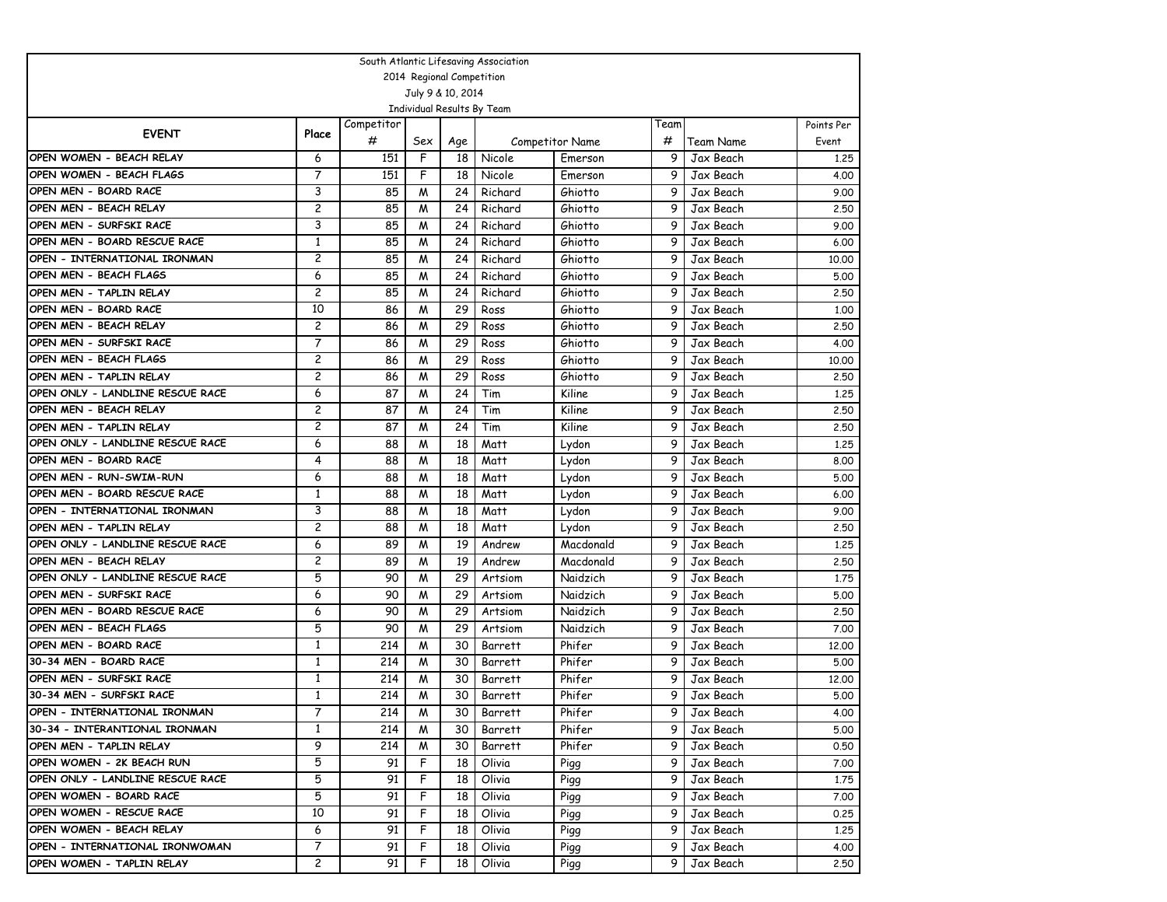| South Atlantic Lifesaving Association                       |                         |            |                |                           |                            |                        |                |                        |              |  |  |  |
|-------------------------------------------------------------|-------------------------|------------|----------------|---------------------------|----------------------------|------------------------|----------------|------------------------|--------------|--|--|--|
|                                                             |                         |            |                | 2014 Regional Competition |                            |                        |                |                        |              |  |  |  |
|                                                             |                         |            |                | July 9 & 10, 2014         |                            |                        |                |                        |              |  |  |  |
|                                                             |                         |            |                |                           | Individual Results By Team |                        |                |                        |              |  |  |  |
| <b>EVENT</b>                                                | Place                   | Competitor |                |                           |                            |                        | Team           |                        | Points Per   |  |  |  |
|                                                             |                         | #          | Sex            | Age                       |                            | <b>Competitor Name</b> | #              | Team Name              | Event        |  |  |  |
| OPEN WOMEN - BEACH RELAY                                    | 6                       | 151        | F              | 18                        | Nicole                     | Emerson                | 9              | Jax Beach              | 1,25         |  |  |  |
| OPEN WOMEN - BEACH FLAGS                                    | $\overline{7}$          | 151        | F              | 18                        | Nicole                     | Emerson                | 9              | Jax Beach              | 4.00         |  |  |  |
| OPEN MEN - BOARD RACE                                       | 3                       | 85         | M              | 24                        | Richard                    | Ghiotto                | 9              | Jax Beach              | 9.00         |  |  |  |
| OPEN MEN - BEACH RELAY                                      | $\overline{c}$          | 85         | M              | 24                        | Richard                    | Ghiotto                | 9              | Jax Beach              | 2.50         |  |  |  |
| OPEN MEN - SURFSKI RACE                                     | 3                       | 85         | M              | 24                        | Richard                    | Ghiotto                | 9              | Jax Beach              | 9.00         |  |  |  |
| OPEN MEN - BOARD RESCUE RACE                                | 1                       | 85         | M              | 24                        | Richard                    | Ghiotto                | 9              | Jax Beach              | 6.00         |  |  |  |
| OPEN - INTERNATIONAL IRONMAN                                | $\overline{\mathbf{c}}$ | 85         | M              | 24                        | Richard                    | Ghiotto                | 9              | Jax Beach              | 10.00        |  |  |  |
| OPEN MEN - BEACH FLAGS                                      | 6                       | 85         | M              | 24                        | Richard                    | Ghiotto                | 9              | Jax Beach              | 5.00         |  |  |  |
| OPEN MEN - TAPLIN RELAY                                     | $\overline{\mathbf{c}}$ | 85         | M              | 24                        | Richard                    | Ghiotto                | 9              | Jax Beach              | 2.50         |  |  |  |
| OPEN MEN - BOARD RACE                                       | 10                      | 86         | M              | 29                        | Ross                       | Ghiotto                | 9              | Jax Beach              | 1,00         |  |  |  |
| OPEN MEN - BEACH RELAY                                      | $\overline{c}$          | 86         | M              | 29                        | Ross                       | Ghiotto                | 9              | Jax Beach              | 2,50         |  |  |  |
| OPEN MEN - SURFSKI RACE                                     | $\overline{7}$          | 86         | M              | 29                        | Ross                       | Ghiotto                | 9              | Jax Beach              | 4.00         |  |  |  |
| OPEN MEN - BEACH FLAGS                                      | $\overline{c}$          | 86         | M              | 29                        | Ross                       | Ghiotto                | 9              | Jax Beach              | 10,00        |  |  |  |
| OPEN MEN - TAPLIN RELAY                                     | $\overline{c}$          | 86         | M              | 29                        | Ross                       | Ghiotto                | 9              | Jax Beach              | 2.50         |  |  |  |
| OPEN ONLY - LANDLINE RESCUE RACE                            | 6                       | 87         | M              | 24                        | Tim                        | Kiline                 | 9              | Jax Beach              | 1.25         |  |  |  |
| OPEN MEN - BEACH RELAY                                      | $\overline{c}$          | 87         | M              | 24                        | Tim                        | Kiline                 | 9              | Jax Beach              | 2,50         |  |  |  |
| OPEN MEN - TAPLIN RELAY                                     | $\overline{c}$          | 87         | M              | 24                        | Tim                        | Kiline                 | 9              | Jax Beach              | 2.50         |  |  |  |
| OPEN ONLY - LANDLINE RESCUE RACE                            | 6                       | 88         | M              | 18                        | Matt                       | Lydon                  | 9              | Jax Beach              | 1,25         |  |  |  |
| OPEN MEN - BOARD RACE                                       | 4                       | 88         | M              | 18                        | Matt                       | Lydon                  | 9              | Jax Beach              | 8.00         |  |  |  |
| OPEN MEN - RUN-SWIM-RUN                                     | 6                       | 88         | M              | 18                        | Matt                       | Lydon                  | 9              | Jax Beach              | 5.00         |  |  |  |
| OPEN MEN - BOARD RESCUE RACE                                | 1                       | 88         | M              | 18                        | Matt                       | Lydon                  | 9              | Jax Beach              | 6.00         |  |  |  |
| OPEN - INTERNATIONAL IRONMAN                                | 3                       | 88         | M              | 18                        | Matt                       | Lydon                  | 9              | Jax Beach              | 9.00         |  |  |  |
| OPEN MEN - TAPLIN RELAY                                     | $\overline{c}$          | 88         | M              | 18                        | Matt                       | Lydon                  | 9              | Jax Beach              | 2,50         |  |  |  |
| OPEN ONLY - LANDLINE RESCUE RACE                            | 6                       | 89         | M              | 19                        | Andrew                     | Macdonald              | 9              | Jax Beach              | 1,25         |  |  |  |
| OPEN MEN - BEACH RELAY                                      | $\overline{c}$<br>5     | 89         | M              | 19                        | Andrew                     | Macdonald              | 9<br>9         | Jax Beach              | 2.50         |  |  |  |
| OPEN ONLY - LANDLINE RESCUE RACE<br>OPEN MEN - SURFSKI RACE | 6                       | 90         | M              | 29                        | Artsiom                    | Naidzich               | 9              | Jax Beach              | 1.75         |  |  |  |
| OPEN MEN - BOARD RESCUE RACE                                | 6                       | 90<br>90   | M<br>M         | 29<br>29                  | Artsiom                    | Naidzich<br>Naidzich   | 9              | Jax Beach<br>Jax Beach | 5.00<br>2.50 |  |  |  |
| OPEN MEN - BEACH FLAGS                                      | 5                       | 90         | M              | 29                        | Artsiom<br>Artsiom         | Naidzich               | 9              | Jax Beach              | 7.00         |  |  |  |
| OPEN MEN - BOARD RACE                                       | $\mathbf{1}$            | 214        | M              | 30                        | Barrett                    | Phifer                 | 9              | Jax Beach              | 12,00        |  |  |  |
| 30-34 MEN - BOARD RACE                                      | 1                       | 214        | M              | 30                        | <b>Barrett</b>             | Phifer                 | 9              | Jax Beach              | 5.00         |  |  |  |
| OPEN MEN - SURFSKI RACE                                     | $\mathbf{1}$            | 214        | M              | 30                        | Barrett                    | Phifer                 | 9              | Jax Beach              | 12,00        |  |  |  |
| 30-34 MEN - SURFSKI RACE                                    | $\mathbf{1}$            | 214        | M              | 30                        | Barrett                    | Phifer                 | 9              | Jax Beach              | 5.00         |  |  |  |
| OPEN - INTERNATIONAL IRONMAN                                | 7                       | 214        | $\overline{M}$ | 30                        | Barrett                    | Phifer                 | 9 <sup>1</sup> | Jax Beach              | 4.00         |  |  |  |
| 30-34 - INTERANTIONAL IRONMAN                               | 1                       | 214        | M              | 30                        | Barrett                    | Phifer                 | 9              | Jax Beach              | 5.00         |  |  |  |
| OPEN MEN - TAPLIN RELAY                                     | 9                       | 214        | M              | 30                        | Barrett                    | Phifer                 | 9.             | Jax Beach              | 0.50         |  |  |  |
| OPEN WOMEN - 2K BEACH RUN                                   | 5                       | 91         | F              | 18                        | Olivia                     | Pigg                   | 9.             | Jax Beach              | 7.00         |  |  |  |
| OPEN ONLY - LANDLINE RESCUE RACE                            | 5                       | 91         | F              | 18                        | Olivia                     | Pigg                   | 9.             | Jax Beach              | 1,75         |  |  |  |
| OPEN WOMEN - BOARD RACE                                     | 5                       | 91         | F              | 18                        | Olivia                     | Pigg                   | 9.             | Jax Beach              | 7.00         |  |  |  |
| OPEN WOMEN - RESCUE RACE                                    | 10                      | 91         | F              | 18                        | Olivia                     | Pigg                   | 9.             | Jax Beach              | 0.25         |  |  |  |
| OPEN WOMEN - BEACH RELAY                                    | 6                       | 91         | F              | 18                        | Olivia                     | Pigg                   | 9.             | Jax Beach              | 1.25         |  |  |  |
| OPEN - INTERNATIONAL IRONWOMAN                              | 7                       | 91         | F              | 18                        | Olivia                     | Pigg                   | 9.             | Jax Beach              | 4.00         |  |  |  |
| OPEN WOMEN - TAPLIN RELAY                                   | $\overline{c}$          | 91         | F              | 18                        | Olivia                     | Pigg                   | 9.             | Jax Beach              | 2.50         |  |  |  |
|                                                             |                         |            |                |                           |                            |                        |                |                        |              |  |  |  |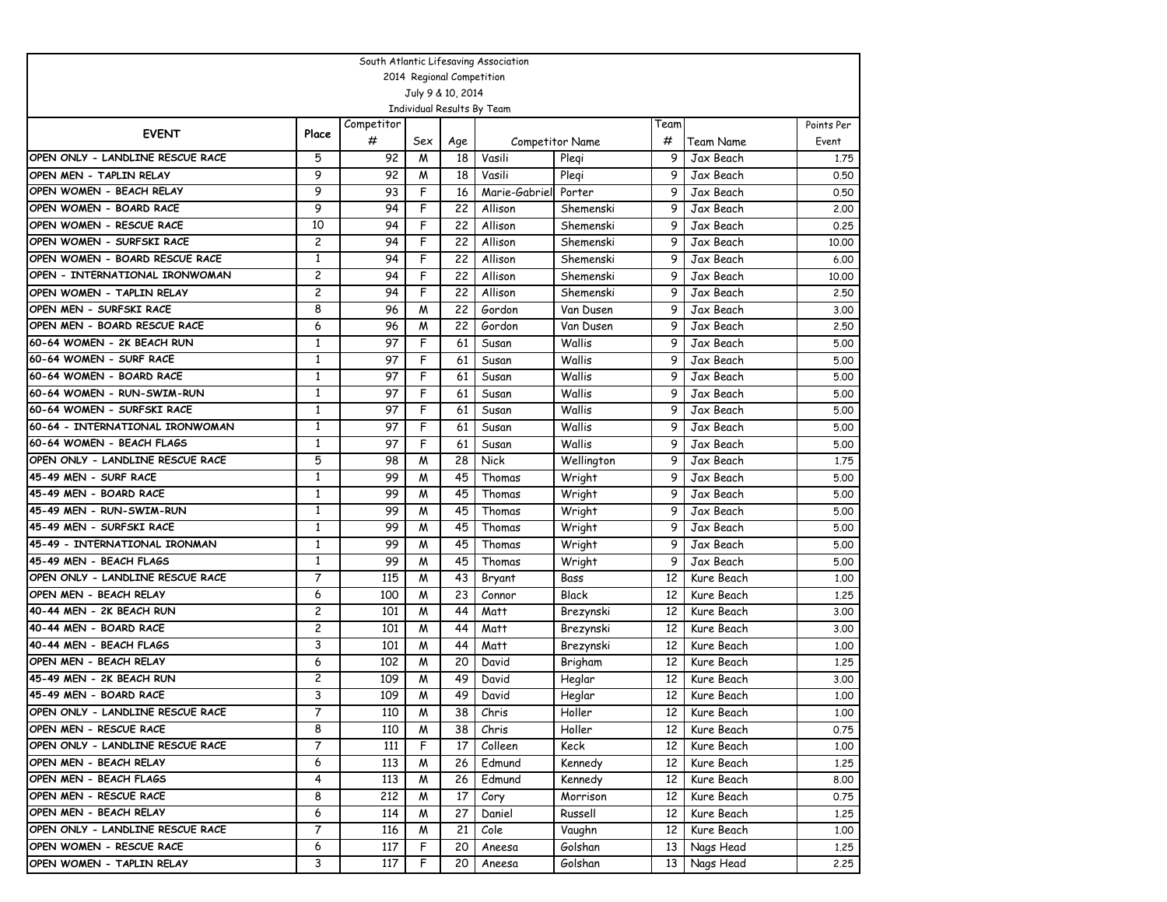| South Atlantic Lifesaving Association |              |            |                |                 |                            |                        |                 |            |            |  |  |  |
|---------------------------------------|--------------|------------|----------------|-----------------|----------------------------|------------------------|-----------------|------------|------------|--|--|--|
| 2014 Regional Competition             |              |            |                |                 |                            |                        |                 |            |            |  |  |  |
| July 9 & 10, 2014                     |              |            |                |                 |                            |                        |                 |            |            |  |  |  |
|                                       |              |            |                |                 | Individual Results By Team |                        |                 |            |            |  |  |  |
| <b>EVENT</b>                          | Place        | Competitor |                |                 |                            |                        | Team            |            | Points Per |  |  |  |
|                                       |              | #          | Sex            | Age             |                            | <b>Competitor Name</b> | #               | Team Name  | Event      |  |  |  |
| OPEN ONLY - LANDLINE RESCUE RACE      | 5            | 92         | M              | 18              | Vasili                     | Plegi                  | 9               | Jax Beach  | 1,75       |  |  |  |
| OPEN MEN - TAPLIN RELAY               | 9            | 92         | M              | 18              | Vasili                     | Plegi                  | 9               | Jax Beach  | 0.50       |  |  |  |
| OPEN WOMEN - BEACH RELAY              | 9            | 93         | F              | 16              | Marie-Gabriel              | Porter                 | 9               | Jax Beach  | 0.50       |  |  |  |
| OPEN WOMEN - BOARD RACE               | 9            | 94         | F              | 22              | Allison                    | Shemenski              | 9               | Jax Beach  | 2,00       |  |  |  |
| OPEN WOMEN - RESCUE RACE              | 10           | 94         | F              | 22              | Allison                    | Shemenski              | 9               | Jax Beach  | 0.25       |  |  |  |
| OPEN WOMEN - SURFSKI RACE             | 2            | 94         | F              | 22              | Allison                    | Shemenski              | 9               | Jax Beach  | 10,00      |  |  |  |
| OPEN WOMEN - BOARD RESCUE RACE        | $\mathbf{1}$ | 94         | F              | 22              | Allison                    | Shemenski              | 9               | Jax Beach  | 6.00       |  |  |  |
| OPEN - INTERNATIONAL IRONWOMAN        | 2            | 94         | F              | 22              | Allison                    | Shemenski              | 9               | Jax Beach  | 10,00      |  |  |  |
| OPEN WOMEN - TAPLIN RELAY             | 2            | 94         | F              | 22              | Allison                    | Shemenski              | 9               | Jax Beach  | 2.50       |  |  |  |
| OPEN MEN - SURFSKI RACE               | 8            | 96         | M              | 22              | Gordon                     | Van Dusen              | 9               | Jax Beach  | 3.00       |  |  |  |
| OPEN MEN - BOARD RESCUE RACE          | 6            | 96         | M              | 22              | Gordon                     | Van Dusen              | 9               | Jax Beach  | 2,50       |  |  |  |
| 60-64 WOMEN - 2K BEACH RUN            | $\mathbf{1}$ | 97         | F              | 61              | Susan                      | Wallis                 | 9               | Jax Beach  | 5.00       |  |  |  |
| 60-64 WOMEN - SURF RACE               | $\mathbf{1}$ | 97         | F              | 61              | Susan                      | Wallis                 | 9               | Jax Beach  | 5.00       |  |  |  |
| 60-64 WOMEN - BOARD RACE              | $\mathbf{1}$ | 97         | F              | 61              | Susan                      | Wallis                 | 9               | Jax Beach  | 5.00       |  |  |  |
| 60-64 WOMEN - RUN-SWIM-RUN            | $\mathbf{1}$ | 97         | F              | 61              | Susan                      | Wallis                 | 9               | Jax Beach  | 5.00       |  |  |  |
| 60-64 WOMEN - SURFSKI RACE            | 1            | 97         | F              | 61              | Susan                      | Wallis                 | 9               | Jax Beach  | 5.00       |  |  |  |
| 60-64 - INTERNATIONAL IRONWOMAN       | 1            | 97         | F              | 61              | Susan                      | Wallis                 | 9               | Jax Beach  | 5.00       |  |  |  |
| 60-64 WOMEN - BEACH FLAGS             | $\mathbf{1}$ | 97         | F              | 61              | Susan                      | Wallis                 | 9               | Jax Beach  | 5.00       |  |  |  |
| OPEN ONLY - LANDLINE RESCUE RACE      | 5            | 98         | M              | 28              | Nick                       | Wellington             | 9               | Jax Beach  | 1.75       |  |  |  |
| 45-49 MEN - SURF RACE                 | $\mathbf{1}$ | 99         | M              | 45              | Thomas                     | Wright                 | 9               | Jax Beach  | 5.00       |  |  |  |
| 45-49 MEN - BOARD RACE                | 1            | 99         | M              | 45              | Thomas                     | Wright                 | 9               | Jax Beach  | 5.00       |  |  |  |
| 45-49 MEN - RUN-SWIM-RUN              | $\mathbf{1}$ | 99         | M              | 45              | Thomas                     | Wright                 | 9               | Jax Beach  | 5.00       |  |  |  |
| 45-49 MEN - SURFSKI RACE              | $\mathbf{1}$ | 99         | M              | 45              | Thomas                     | Wright                 | 9               | Jax Beach  | 5.00       |  |  |  |
| 45-49 - INTERNATIONAL IRONMAN         | $\mathbf{1}$ | 99         | M              | 45              | Thomas                     | Wright                 | 9               | Jax Beach  | 5.00       |  |  |  |
| 45-49 MEN - BEACH FLAGS               | 1            | 99         | M              | 45              | Thomas                     | Wright                 | 9               | Jax Beach  | 5.00       |  |  |  |
| OPEN ONLY - LANDLINE RESCUE RACE      | 7            | 115        | M              | 43              | Bryant                     | Bass                   | 12              | Kure Beach | 1,00       |  |  |  |
| OPEN MEN - BEACH RELAY                | 6            | 100        | M              | 23              | Connor                     | Black                  | 12              | Kure Beach | 1,25       |  |  |  |
| 40-44 MEN - 2K BEACH RUN              | 2            | 101        | M              | 44              | Matt                       | Brezynski              | 12              | Kure Beach | 3,00       |  |  |  |
| 40-44 MEN - BOARD RACE                | 2            | 101        | M              | 44              | Matt                       | Brezynski              | 12              | Kure Beach | 3.00       |  |  |  |
| 40-44 MEN - BEACH FLAGS               | 3            | 101        | M              | 44              | Matt                       | Brezynski              | 12              | Kure Beach | 1,00       |  |  |  |
| OPEN MEN - BEACH RELAY                | 6            | 102        | M              | 20              | David                      | Brigham                | 12              | Kure Beach | 1,25       |  |  |  |
| 45-49 MEN - 2K BEACH RUN              | 2            | 109        | M              | 49              | David                      | Heglar                 | 12              | Kure Beach | 3,00       |  |  |  |
| 45-49 MEN - BOARD RACE                | 3            | 109        | M              | 49              | David                      | Heglar                 | 12              | Kure Beach | 1.00       |  |  |  |
| OPEN ONLY - LANDLINE RESCUE RACE      | 7            | 110        | $\overline{M}$ | $\overline{38}$ | Chris                      | Holler                 | 12              | Kure Beach | 1.00       |  |  |  |
| OPEN MEN - RESCUE RACE                | 8            | 110        | M              | 38              | Chris                      | Holler                 | 12 <sup>2</sup> | Kure Beach | 0.75       |  |  |  |
| OPEN ONLY - LANDLINE RESCUE RACE      | 7            | 111        | F              | 17              | Colleen                    | Keck                   | 12              | Kure Beach | 1.00       |  |  |  |
| OPEN MEN - BEACH RELAY                | 6            | 113        | M              | 26              | Edmund                     | Kennedy                | 12              | Kure Beach | 1.25       |  |  |  |
| OPEN MEN - BEACH FLAGS                | 4            | 113        | M              | 26              | Edmund                     | Kennedy                | 12              | Kure Beach | 8.00       |  |  |  |
| OPEN MEN - RESCUE RACE                | 8            | 212        | M              | 17              | Cory                       | Morrison               | 12              | Kure Beach | 0.75       |  |  |  |
| OPEN MEN - BEACH RELAY                | 6            | 114        | M              | 27              | Daniel                     | Russell                | 12              | Kure Beach | 1.25       |  |  |  |
| OPEN ONLY - LANDLINE RESCUE RACE      | 7            | 116        | M              | 21              | Cole                       | Vaughn                 | 12              | Kure Beach | 1.00       |  |  |  |
| OPEN WOMEN - RESCUE RACE              | 6            | 117        | F              | 20              | Aneesa                     | Golshan                | 13              | Nags Head  | 1.25       |  |  |  |
| OPEN WOMEN - TAPLIN RELAY             | 3            | 117        | F              | 20              | Aneesa                     | Golshan                | 13              | Nags Head  | 2.25       |  |  |  |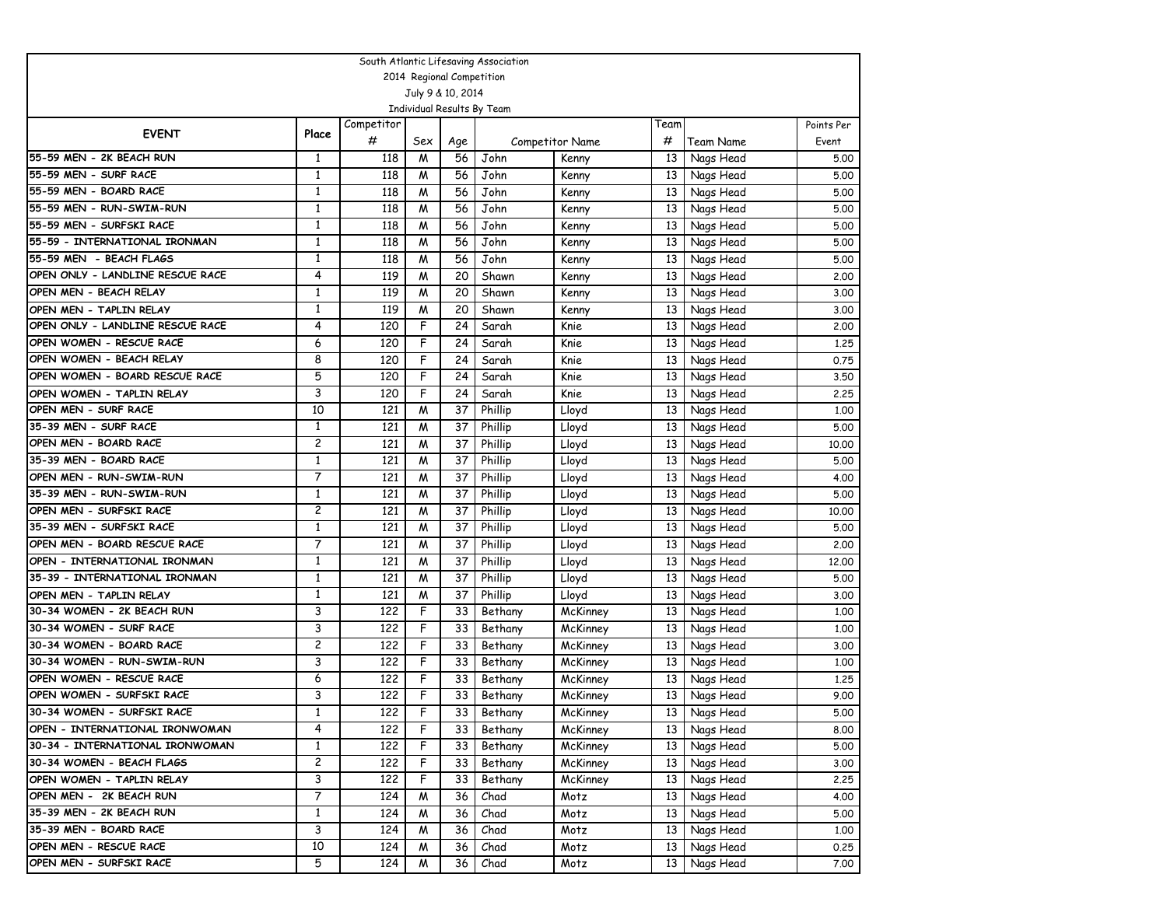| South Atlantic Lifesaving Association                   |              |            |     |                           |                            |                 |                 |              |            |  |  |  |
|---------------------------------------------------------|--------------|------------|-----|---------------------------|----------------------------|-----------------|-----------------|--------------|------------|--|--|--|
|                                                         |              |            |     | 2014 Regional Competition |                            |                 |                 |              |            |  |  |  |
|                                                         |              |            |     | July 9 & 10, 2014         |                            |                 |                 |              |            |  |  |  |
|                                                         |              |            |     |                           | Individual Results By Team |                 |                 |              |            |  |  |  |
| <b>EVENT</b>                                            | Place        | Competitor |     |                           |                            |                 | Team            |              | Points Per |  |  |  |
|                                                         |              | #          | Sex | Age                       |                            | Competitor Name | #               | Team Name    | Event      |  |  |  |
| 55-59 MEN - 2K BEACH RUN                                | 1            | 118        | M   | 56                        | John                       | Kenny           | 13              | Nags Head    | 5.00       |  |  |  |
| 55-59 MEN - SURF RACE                                   | $\mathbf{1}$ | 118        | M   | 56                        | John                       | Kenny           | 13              | Nags Head    | 5.00       |  |  |  |
| 55-59 MEN - BOARD RACE                                  | $\mathbf{1}$ | 118        | M   | 56                        | John                       | Kenny           | 13              | Nags Head    | 5.00       |  |  |  |
| 55-59 MEN - RUN-SWIM-RUN                                | $\mathbf{1}$ | 118        | W   | 56                        | John                       | Kenny           | 13              | Nags Head    | 5.00       |  |  |  |
| 55-59 MEN - SURFSKI RACE                                | 1            | 118        | M   | 56                        | John                       | Kenny           | 13              | Nags Head    | 5.00       |  |  |  |
| 55-59 - INTERNATIONAL IRONMAN                           | 1            | 118        | M   | 56                        | John                       | Kenny           | 13              | Nags Head    | 5.00       |  |  |  |
| 55-59 MEN - BEACH FLAGS                                 | $\mathbf{1}$ | 118        | M   | 56                        | John                       | Kenny           | 13              | Nags Head    | 5.00       |  |  |  |
| OPEN ONLY - LANDLINE RESCUE RACE                        | 4            | 119        | M   | 20                        | Shawn                      | Kenny           | 13              | Nags Head    | 2,00       |  |  |  |
| OPEN MEN - BEACH RELAY                                  | $\mathbf{1}$ | 119        | M   | 20                        | Shawn                      | Kenny           | 13              | Nags Head    | 3.00       |  |  |  |
| OPEN MEN - TAPLIN RELAY                                 | 1            | 119        | M   | 20                        | Shawn                      | Kenny           | 13              | Nags Head    | 3.00       |  |  |  |
| OPEN ONLY - LANDLINE RESCUE RACE                        | 4            | 120        | F   | 24                        | Sarah                      | Knie            | 13              | Nags Head    | 2.00       |  |  |  |
| OPEN WOMEN - RESCUE RACE                                | 6            | 120        | F   | 24                        | Sarah                      | Knie            | 13              | Nags Head    | 1.25       |  |  |  |
| OPEN WOMEN - BEACH RELAY                                | 8            | 120        | F   | 24                        | Sarah                      | Knie            | 13              | Nags Head    | 0.75       |  |  |  |
| OPEN WOMEN - BOARD RESCUE RACE                          | 5            | 120        | F   | 24                        | Sarah                      | Knie            | 13              | Nags Head    | 3.50       |  |  |  |
| OPEN WOMEN - TAPLIN RELAY                               | 3            | 120        | F   | 24                        | Sarah                      | Knie            | 13              | Nags Head    | 2.25       |  |  |  |
| OPEN MEN - SURF RACE                                    | 10           | 121        | M   | 37                        | Phillip                    | Lloyd           | 13              | Nags Head    | 1,00       |  |  |  |
| 35-39 MEN - SURF RACE                                   | $\mathbf{1}$ | 121        | M   | 37                        | Phillip                    | Lloyd           | 13              | Nags Head    | 5.00       |  |  |  |
| OPEN MEN - BOARD RACE                                   | 2            | 121        | M   | 37                        | Phillip                    | Lloyd           | 13              | Nags Head    | 10,00      |  |  |  |
| 35-39 MEN - BOARD RACE                                  | $\mathbf{1}$ | 121        | M   | 37                        | Phillip                    | Lloyd           | 13              | Nags Head    | 5.00       |  |  |  |
| OPEN MEN - RUN-SWIM-RUN                                 | 7            | 121        | M   | 37                        | Phillip                    | Lloyd           | 13              | Nags Head    | 4.00       |  |  |  |
| 35-39 MEN - RUN-SWIM-RUN                                | 1            | 121        | M   | 37                        | Phillip                    | Lloyd           | 13              | Nags Head    | 5.00       |  |  |  |
| OPEN MEN - SURFSKI RACE                                 | 2            | 121        | M   | 37                        | Phillip                    | Lloyd           | 13              | Nags Head    | 10.00      |  |  |  |
| 35-39 MEN - SURFSKI RACE                                | $\mathbf{1}$ | 121        | M   | 37                        | Phillip                    | Lloyd           | 13              | Nags Head    | 5.00       |  |  |  |
| OPEN MEN - BOARD RESCUE RACE                            | 7            | 121        | W   | 37                        | Phillip                    | Lloyd           | 13              | Nags Head    | 2.00       |  |  |  |
| OPEN - INTERNATIONAL IRONMAN                            | 1            | 121        | M   | 37                        | Phillip                    | Lloyd           | 13              | Nags Head    | 12.00      |  |  |  |
| 35-39 - INTERNATIONAL IRONMAN                           | 1            | 121        | M   | 37                        | Phillip                    | Lloyd           | 13              | Nags Head    | 5.00       |  |  |  |
| OPEN MEN - TAPLIN RELAY                                 | 1            | 121        | M   | 37                        | Phillip                    | Lloyd           | 13              | Nags Head    | 3.00       |  |  |  |
| 30-34 WOMEN - 2K BEACH RUN                              | 3            | 122        | F   | 33                        | Bethany                    | McKinney        | 13              | Nags Head    | 1,00       |  |  |  |
| 30-34 WOMEN - SURF RACE                                 | 3            | 122        | F   | 33                        | Bethany                    | McKinney        | 13              | Nags Head    | 1.00       |  |  |  |
| 30-34 WOMEN - BOARD RACE                                | 2            | 122        | F   | 33                        | Bethany                    | McKinney        | 13              | Nags Head    | 3.00       |  |  |  |
| 30-34 WOMEN - RUN-SWIM-RUN<br>OPEN WOMEN - RESCUE RACE  | 3            | 122        | F   | 33                        | Bethany                    | McKinney        | 13              | Nags Head    | 1.00       |  |  |  |
|                                                         | 6            | 122        | F   | 33                        | Bethany                    | McKinney        | 13              | Nags Head    | 1.25       |  |  |  |
| OPEN WOMEN - SURFSKI RACE<br>30-34 WOMEN - SURFSKI RACE | 3            | 122        | F   | 33                        | Bethany                    | McKinney        | 13              | Nags Head    | 9.00       |  |  |  |
|                                                         | $\mathbf{1}$ | 122        | F   | 33                        | Bethany                    | McKinney        |                 | 13 Nags Head | 5.00       |  |  |  |
| OPEN - INTERNATIONAL IRONWOMAN                          | 4            | 122        | F   | 33 I                      | Bethany                    | McKinney        |                 | 13 Nags Head | 8.00       |  |  |  |
| 30-34 - INTERNATIONAL IRONWOMAN                         | $\mathbf{1}$ | 122        | F   | 33                        | Bethany                    | McKinney        | 13 <sup>1</sup> | Nags Head    | 5.00       |  |  |  |
| 30-34 WOMEN - BEACH FLAGS                               | 2            | 122        | F   | 33                        | Bethany                    | McKinney        | 13 <sup>1</sup> | Nags Head    | 3.00       |  |  |  |
| OPEN WOMEN - TAPLIN RELAY                               | 3            | 122        | F   | 33                        | Bethany                    | McKinney        | 13              | Nags Head    | 2.25       |  |  |  |
| OPEN MEN - 2K BEACH RUN                                 | 7            | 124        | M   | 36                        | Chad                       | Motz            | 13              | Nags Head    | 4.00       |  |  |  |
| 35-39 MEN - 2K BEACH RUN                                | $\mathbf{1}$ | 124        | M   | 36                        | Chad                       | Motz            | 13 <sup>1</sup> | Nags Head    | 5.00       |  |  |  |
| 35-39 MEN - BOARD RACE                                  | 3            | 124        | M   | 36                        | Chad                       | Motz            | 13              | Nags Head    | 1.00       |  |  |  |
| OPEN MEN - RESCUE RACE                                  | 10           | 124        | M   | 36                        | Chad                       | Motz            | 13 <sup>1</sup> | Nags Head    | 0.25       |  |  |  |
| OPEN MEN - SURFSKI RACE                                 | 5            | 124        | M   | 36                        | Chad                       | Motz            | 13 <sup>1</sup> | Nags Head    | 7.00       |  |  |  |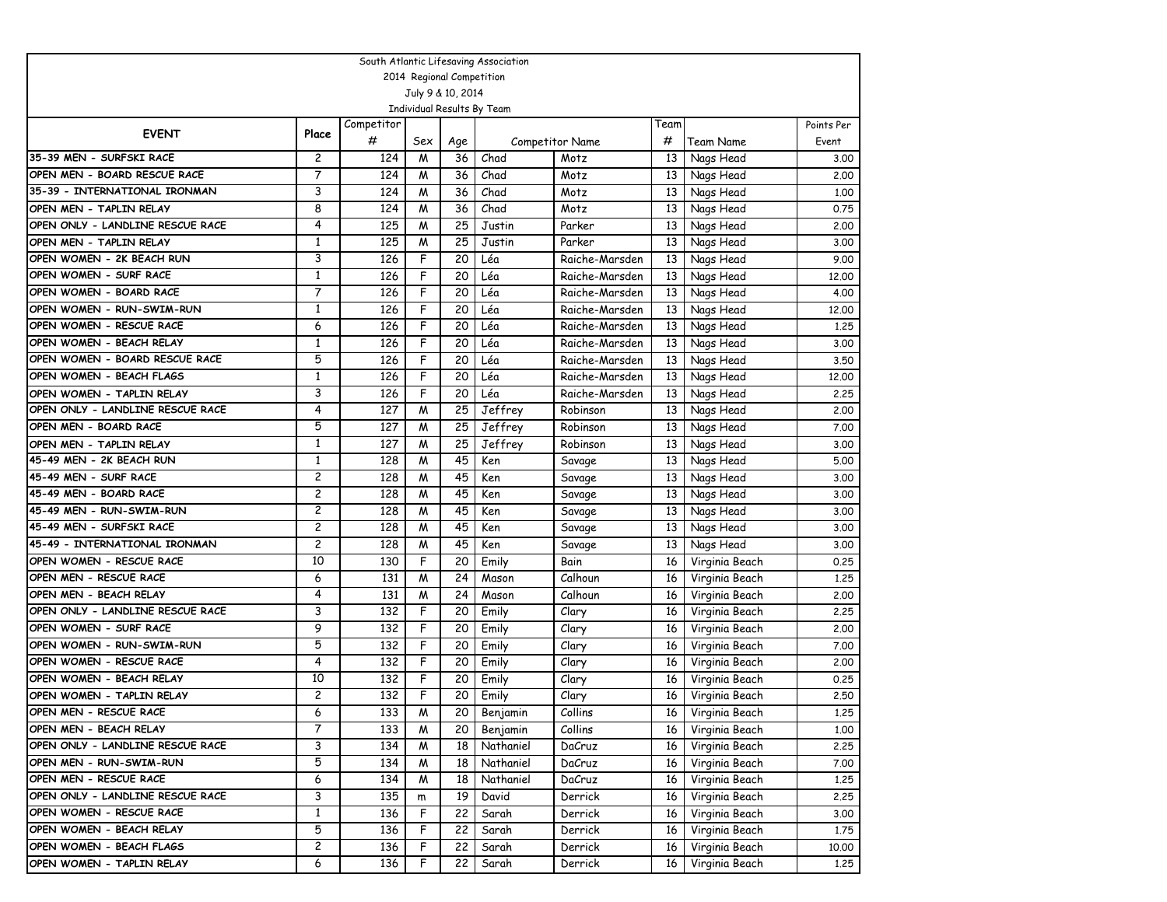| South Atlantic Lifesaving Association |              |            |                |                   |                            |                        |      |                |            |  |  |
|---------------------------------------|--------------|------------|----------------|-------------------|----------------------------|------------------------|------|----------------|------------|--|--|
| 2014 Regional Competition             |              |            |                |                   |                            |                        |      |                |            |  |  |
|                                       |              |            |                | July 9 & 10, 2014 |                            |                        |      |                |            |  |  |
|                                       |              |            |                |                   | Individual Results By Team |                        |      |                |            |  |  |
| <b>EVENT</b>                          | Place        | Competitor |                |                   |                            |                        | Team |                | Points Per |  |  |
|                                       |              | #          | Sex            | Age               |                            | <b>Competitor Name</b> | #    | Team Name      | Event      |  |  |
| 35-39 MEN - SURFSKI RACE              | 2            | 124        | M              | 36                | Chad                       | Motz                   | 13   | Nags Head      | 3.00       |  |  |
| OPEN MEN - BOARD RESCUE RACE          | 7            | 124        | M              | 36                | Chad                       | Motz                   | 13   | Nags Head      | 2.00       |  |  |
| 35-39 - INTERNATIONAL IRONMAN         | 3            | 124        | M              | 36                | Chad                       | Motz                   | 13   | Nags Head      | 1,00       |  |  |
| OPEN MEN - TAPLIN RELAY               | 8            | 124        | M              | 36                | Chad                       | Motz                   | 13   | Nags Head      | 0.75       |  |  |
| OPEN ONLY - LANDLINE RESCUE RACE      | 4            | 125        | M              | 25                | Justin                     | Parker                 | 13   | Nags Head      | 2,00       |  |  |
| OPEN MEN - TAPLIN RELAY               | 1            | 125        | M              | 25                | Justin                     | Parker                 | 13   | Nags Head      | 3,00       |  |  |
| OPEN WOMEN - 2K BEACH RUN             | 3            | 126        | F              | 20                | Léa                        | Raiche-Marsden         | 13   | Nags Head      | 9.00       |  |  |
| OPEN WOMEN - SURF RACE                | 1            | 126        | F              | 20                | Léa                        | Raiche-Marsden         | 13   | Nags Head      | 12,00      |  |  |
| OPEN WOMEN - BOARD RACE               | 7            | 126        | F              | 20                | Léa                        | Raiche-Marsden         | 13   | Nags Head      | 4.00       |  |  |
| OPEN WOMEN - RUN-SWIM-RUN             | 1            | 126        | F              | 20                | Léa                        | Raiche-Marsden         | 13   | Nags Head      | 12,00      |  |  |
| OPEN WOMEN - RESCUE RACE              | 6            | 126        | F              | 20                | Léa                        | Raiche-Marsden         | 13   | Nags Head      | 1.25       |  |  |
| OPEN WOMEN - BEACH RELAY              | $\mathbf{1}$ | 126        | F              | 20                | Léa                        | Raiche-Marsden         | 13   | Nags Head      | 3.00       |  |  |
| OPEN WOMEN - BOARD RESCUE RACE        | 5            | 126        | F              | 20                | Léa                        | Raiche-Marsden         | 13   | Nags Head      | 3.50       |  |  |
| OPEN WOMEN - BEACH FLAGS              | $\mathbf{1}$ | 126        | F              | 20                | Léa                        | Raiche-Marsden         | 13   | Nags Head      | 12.00      |  |  |
| OPEN WOMEN - TAPLIN RELAY             | 3            | 126        | F              | 20                | Léa                        | Raiche-Marsden         | 13   | Nags Head      | 2,25       |  |  |
| OPEN ONLY - LANDLINE RESCUE RACE      | 4            | 127        | M              | 25                | Jeffrey                    | Robinson               | 13   | Nags Head      | 2,00       |  |  |
| OPEN MEN - BOARD RACE                 | 5            | 127        | M              | 25                | Jeffrey                    | Robinson               | 13   | Nags Head      | 7.00       |  |  |
| OPEN MEN - TAPLIN RELAY               | $\mathbf{1}$ | 127        | M              | 25                | Jeffrey                    | Robinson               | 13   | Nags Head      | 3,00       |  |  |
| 45-49 MEN - 2K BEACH RUN              | $\mathbf{1}$ | 128        | M              | 45                | Ken                        | Savage                 | 13   | Nags Head      | 5.00       |  |  |
| 45-49 MEN - SURF RACE                 | 2            | 128        | M              | 45                | Ken                        | Savage                 | 13   | Nags Head      | 3.00       |  |  |
| 45-49 MEN - BOARD RACE                | 2            | 128        | M              | 45                | Ken                        | Savage                 | 13   | Nags Head      | 3,00       |  |  |
| 45-49 MEN - RUN-SWIM-RUN              | 2            | 128        | M              | 45                | Ken                        | Savage                 | 13   | Nags Head      | 3.00       |  |  |
| 45-49 MEN - SURFSKI RACE              | 2            | 128        | M              | 45                | Ken                        | Savage                 | 13   | Nags Head      | 3,00       |  |  |
| 45-49 - INTERNATIONAL IRONMAN         | 2            | 128        | M              | 45                | Ken                        | Savage                 | 13   | Nags Head      | 3.00       |  |  |
| OPEN WOMEN - RESCUE RACE              | 10           | 130        | F              | 20                | Emily                      | Bain                   | 16   | Virginia Beach | 0.25       |  |  |
| OPEN MEN - RESCUE RACE                | 6            | 131        | M              | 24                | Mason                      | Calhoun                | 16   | Virginia Beach | 1.25       |  |  |
| OPEN MEN - BEACH RELAY                | 4            | 131        | M              | 24                | Mason                      | Calhoun                | 16   | Virginia Beach | 2.00       |  |  |
| OPEN ONLY - LANDLINE RESCUE RACE      | 3            | 132        | F              | 20                | Emily                      | Clary                  | 16   | Virginia Beach | 2.25       |  |  |
| OPEN WOMEN - SURF RACE                | 9            | 132        | F              | 20                | Emily                      | Clary                  | 16   | Virginia Beach | 2.00       |  |  |
| OPEN WOMEN - RUN-SWIM-RUN             | 5            | 132        | F              | 20                | Emily                      | Clary                  | 16   | Virginia Beach | 7.00       |  |  |
| OPEN WOMEN - RESCUE RACE              | 4            | 132        | F              | 20                | Emily                      | Clary                  | 16   | Virginia Beach | 2.00       |  |  |
| OPEN WOMEN - BEACH RELAY              | 10           | 132        | F              | 20                | Emily                      | Clary                  | 16   | Virginia Beach | 0.25       |  |  |
| OPEN WOMEN - TAPLIN RELAY             | 2            | 132        | F              | 20                | Emily                      | Clary                  | 16   | Virginia Beach | 2.50       |  |  |
| OPEN MEN - RESCUE RACE                | 6            | 133        | $\overline{M}$ | $\overline{20}$   | Benjamin                   | Collins                | 16   | Virginia Beach | 1,25       |  |  |
| OPEN MEN - BEACH RELAY                | 7            | 133        | M              | 20                | Benjamin                   | Collins                | 16   | Virginia Beach | 1.00       |  |  |
| OPEN ONLY - LANDLINE RESCUE RACE      | 3            | 134        | M              | 18                | Nathaniel                  | DaCruz                 | 16   | Virginia Beach | 2.25       |  |  |
| OPEN MEN - RUN-SWIM-RUN               | 5            | 134        | M              | 18                | Nathaniel                  | DaCruz                 | 16   | Virginia Beach | 7.00       |  |  |
| OPEN MEN - RESCUE RACE                | 6            | 134        | M              | 18                | Nathaniel                  | DaCruz                 | 16   | Virginia Beach | 1.25       |  |  |
| OPEN ONLY - LANDLINE RESCUE RACE      | 3            | 135        | m              | 19                | David                      | Derrick                | 16   | Virginia Beach | 2.25       |  |  |
| OPEN WOMEN - RESCUE RACE              | $\mathbf{1}$ | 136        | F              | 22                | Sarah                      | Derrick                | 16   | Virginia Beach | 3.00       |  |  |
| OPEN WOMEN - BEACH RELAY              | 5            | 136        | F              | 22                | Sarah                      | Derrick                | 16   | Virginia Beach | 1.75       |  |  |
| OPEN WOMEN - BEACH FLAGS              | 2            | 136        | F              | 22                | Sarah                      | Derrick                | 16   | Virginia Beach | 10.00      |  |  |
| OPEN WOMEN - TAPLIN RELAY             | 6            | 136        | F              | 22                | Sarah                      | Derrick                | 16   | Virginia Beach | 1.25       |  |  |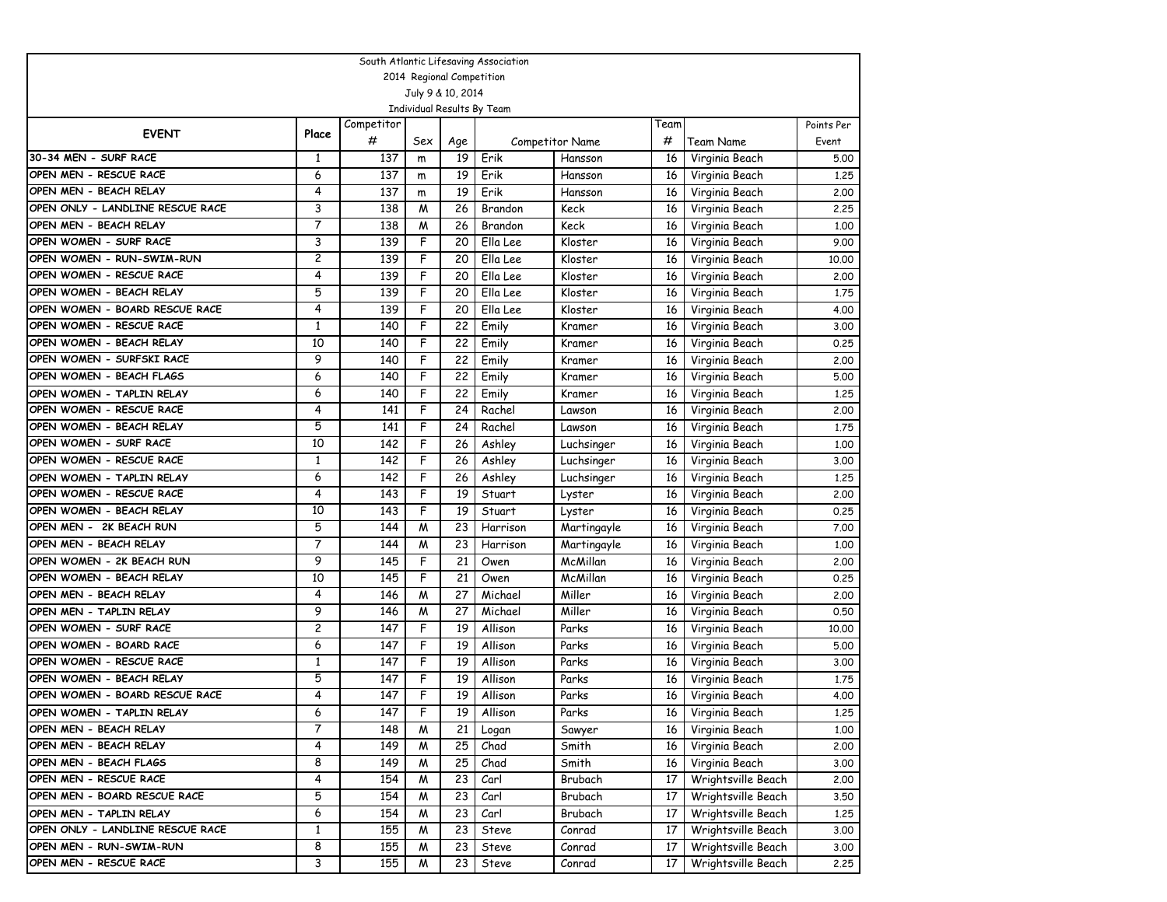| South Atlantic Lifesaving Association                       |                   |            |     |                           |                            |                        |      |                    |            |  |  |
|-------------------------------------------------------------|-------------------|------------|-----|---------------------------|----------------------------|------------------------|------|--------------------|------------|--|--|
|                                                             |                   |            |     | 2014 Regional Competition |                            |                        |      |                    |            |  |  |
|                                                             |                   |            |     | July 9 & 10, 2014         |                            |                        |      |                    |            |  |  |
|                                                             |                   |            |     |                           | Individual Results By Team |                        |      |                    |            |  |  |
| <b>EVENT</b>                                                | Place             | Competitor |     |                           |                            |                        | Team |                    | Points Per |  |  |
|                                                             |                   | #          | Sex | Age                       |                            | <b>Competitor Name</b> | #    | Team Name          | Event      |  |  |
| 30-34 MEN - SURF RACE                                       | 1                 | 137        | m   | 19                        | Erik                       | Hansson                | 16   | Virginia Beach     | 5.00       |  |  |
| OPEN MEN - RESCUE RACE                                      | 6                 | 137        | m   | 19                        | Erik                       | Hansson                | 16   | Virginia Beach     | 1.25       |  |  |
| OPEN MEN - BEACH RELAY                                      | 4                 | 137        | m   | 19                        | Erik                       | Hansson                | 16   | Virginia Beach     | 2.00       |  |  |
| OPEN ONLY - LANDLINE RESCUE RACE                            | 3                 | 138        | M   | 26                        | Brandon                    | Keck                   | 16   | Virginia Beach     | 2.25       |  |  |
| OPEN MEN - BEACH RELAY                                      | 7                 | 138        | M   | 26                        | Brandon                    | Keck                   | 16   | Virginia Beach     | 1,00       |  |  |
| OPEN WOMEN - SURF RACE                                      | 3                 | 139        | F   | 20                        | Ella Lee                   | Kloster                | 16   | Virginia Beach     | 9.00       |  |  |
| OPEN WOMEN - RUN-SWIM-RUN                                   | 2                 | 139        | F   | 20                        | Ella Lee                   | Kloster                | 16   | Virginia Beach     | 10.00      |  |  |
| OPEN WOMEN - RESCUE RACE                                    | 4                 | 139        | F   | 20                        | Ella Lee                   | Kloster                | 16   | Virginia Beach     | 2,00       |  |  |
| OPEN WOMEN - BEACH RELAY                                    | 5                 | 139        | F   | 20                        | Ella Lee                   | Kloster                | 16   | Virginia Beach     | 1.75       |  |  |
| OPEN WOMEN - BOARD RESCUE RACE                              | 4                 | 139        | F   | 20                        | Ella Lee                   | Kloster                | 16   | Virginia Beach     | 4.00       |  |  |
| OPEN WOMEN - RESCUE RACE                                    | 1                 | 140        | F   | 22                        | Emily                      | Kramer                 | 16   | Virginia Beach     | 3.00       |  |  |
| OPEN WOMEN - BEACH RELAY                                    | 10                | 140        | F   | 22                        | Emily                      | Kramer                 | 16   | Virginia Beach     | 0.25       |  |  |
| OPEN WOMEN - SURFSKI RACE                                   | 9                 | 140        | F   | 22                        | Emily                      | Kramer                 | 16   | Virginia Beach     | 2,00       |  |  |
| OPEN WOMEN - BEACH FLAGS                                    | 6                 | 140        | F   | 22                        | Emily                      | Kramer                 | 16   | Virginia Beach     | 5.00       |  |  |
| OPEN WOMEN - TAPLIN RELAY                                   | 6                 | 140        | F   | 22                        | Emily                      | Kramer                 | 16   | Virginia Beach     | 1.25       |  |  |
| OPEN WOMEN - RESCUE RACE                                    | 4                 | 141        | F   | 24                        | Rachel                     | Lawson                 | 16   | Virginia Beach     | 2.00       |  |  |
| OPEN WOMEN - BEACH RELAY                                    | 5                 | 141        | F   | 24                        | Rachel                     | Lawson                 | 16   | Virginia Beach     | 1.75       |  |  |
| OPEN WOMEN - SURF RACE                                      | 10                | 142        | F   | 26                        | Ashley                     | Luchsinger             | 16   | Virginia Beach     | 1,00       |  |  |
| OPEN WOMEN - RESCUE RACE                                    | 1                 | 142        | F   | 26                        | Ashley                     | Luchsinger             | 16   | Virginia Beach     | 3.00       |  |  |
| OPEN WOMEN - TAPLIN RELAY                                   | 6                 | 142        | F   | 26                        | Ashley                     | Luchsinger             | 16   | Virginia Beach     | 1,25       |  |  |
| OPEN WOMEN - RESCUE RACE                                    | 4                 | 143        | F   | 19                        | Stuart                     | Lyster                 | 16   | Virginia Beach     | 2.00       |  |  |
| OPEN WOMEN - BEACH RELAY                                    | 10                | 143        | F   | 19                        | Stuart                     | Lyster                 | 16   | Virginia Beach     | 0.25       |  |  |
| OPEN MEN - 2K BEACH RUN                                     | 5                 | 144        | М   | 23                        | Harrison                   | Martingayle            | 16   | Virginia Beach     | 7.00       |  |  |
| OPEN MEN - BEACH RELAY                                      | 7                 | 144        | M   | 23                        | Harrison                   | Martingayle            | 16   | Virginia Beach     | 1.00       |  |  |
| OPEN WOMEN - 2K BEACH RUN                                   | 9                 | 145        | F   | 21                        | Owen                       | McMillan               | 16   | Virginia Beach     | 2,00       |  |  |
| OPEN WOMEN - BEACH RELAY                                    | 10                | 145        | F   | 21                        | Owen                       | McMillan               | 16   | Virginia Beach     | 0.25       |  |  |
| OPEN MEN - BEACH RELAY                                      | 4                 | 146        | M   | 27                        | Michael                    | Miller                 | 16   | Virginia Beach     | 2.00       |  |  |
| OPEN MEN - TAPLIN RELAY                                     | 9                 | 146        | М   | 27                        | Michael                    | Miller                 | 16   | Virginia Beach     | 0.50       |  |  |
| OPEN WOMEN - SURF RACE                                      | 2                 | 147        | F   | 19                        | Allison                    | Parks                  | 16   | Virginia Beach     | 10.00      |  |  |
| OPEN WOMEN - BOARD RACE                                     | 6                 | 147        | F   | 19                        | Allison                    | Parks                  | 16   | Virginia Beach     | 5.00       |  |  |
| OPEN WOMEN - RESCUE RACE                                    | 1                 | 147        | F   | 19                        | Allison                    | Parks                  | 16   | Virginia Beach     | 3,00       |  |  |
| OPEN WOMEN - BEACH RELAY                                    | 5<br>4            | 147        | F   | 19                        | Allison                    | Parks                  | 16   | Virginia Beach     | 1,75       |  |  |
| OPEN WOMEN - BOARD RESCUE RACE                              |                   | 147        | F   | 19                        | Allison                    | Parks                  | 16   | Virginia Beach     | 4.00       |  |  |
| OPEN WOMEN - TAPLIN RELAY                                   | 6<br>7            | 147        | F   | 19                        | Allison                    | Parks                  | 16   | Virginia Beach     | 1,25       |  |  |
| OPEN MEN - BEACH RELAY                                      |                   | 148        | M   | 21                        | Logan                      | Sawyer                 | 16   | Virginia Beach     | 1,00       |  |  |
| OPEN MEN - BEACH RELAY<br>OPEN MEN - BEACH FLAGS            | 4<br>8            | 149        | M   | 25                        | Chad                       | Smith                  | 16   | Virginia Beach     | 2.00       |  |  |
|                                                             |                   | 149        | M   | 25                        | Chad                       | Smith                  | 16   | Virginia Beach     | 3.00       |  |  |
| OPEN MEN - RESCUE RACE                                      | 4                 | 154        | M   | 23                        | Carl                       | Brubach                | 17   | Wrightsville Beach | 2.00       |  |  |
| OPEN MEN - BOARD RESCUE RACE                                | 5                 | 154        | M   | 23                        | Carl                       | Brubach                | 17   | Wrightsville Beach | 3.50       |  |  |
| OPEN MEN - TAPLIN RELAY<br>OPEN ONLY - LANDLINE RESCUE RACE | 6                 | 154        | M   | 23                        | Carl                       | Brubach                | 17   | Wrightsville Beach | 1.25       |  |  |
| OPEN MEN - RUN-SWIM-RUN                                     | $\mathbf{1}$<br>8 | 155        | M   | 23                        | Steve                      | Conrad                 | 17   | Wrightsville Beach | 3.00       |  |  |
|                                                             |                   | 155        | M   | 23                        | Steve                      | Conrad                 | 17   | Wrightsville Beach | 3.00       |  |  |
| OPEN MEN - RESCUE RACE                                      | 3                 | 155        | M   | 23                        | Steve                      | Conrad                 | 17   | Wrightsville Beach | 2.25       |  |  |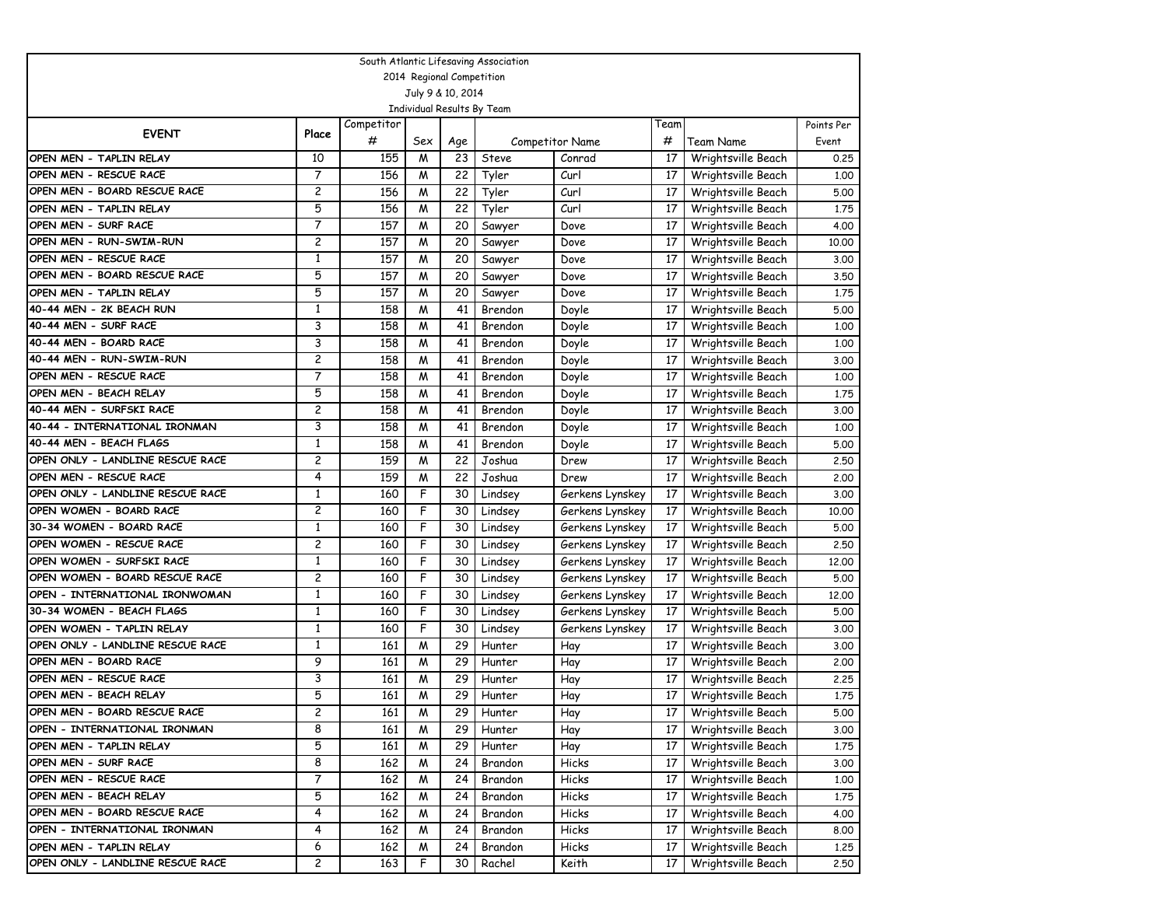| South Atlantic Lifesaving Association |                |            |                |                           |                            |                        |      |                    |            |  |  |
|---------------------------------------|----------------|------------|----------------|---------------------------|----------------------------|------------------------|------|--------------------|------------|--|--|
|                                       |                |            |                | 2014 Regional Competition |                            |                        |      |                    |            |  |  |
|                                       |                |            |                | July 9 & 10, 2014         |                            |                        |      |                    |            |  |  |
|                                       |                |            |                |                           | Individual Results By Team |                        |      |                    |            |  |  |
| <b>EVENT</b>                          | Place          | Competitor |                |                           |                            |                        | Team |                    | Points Per |  |  |
|                                       |                | #          | Sex            | Age                       |                            | <b>Competitor Name</b> | #    | Team Name          | Event      |  |  |
| OPEN MEN - TAPLIN RELAY               | 10             | 155        | M              | 23                        | Steve                      | Conrad                 | 17   | Wrightsville Beach | 0.25       |  |  |
| OPEN MEN - RESCUE RACE                | $\overline{7}$ | 156        | M              | 22                        | Tyler                      | Curl                   | 17   | Wrightsville Beach | 1.00       |  |  |
| OPEN MEN - BOARD RESCUE RACE          | $\overline{c}$ | 156        | M              | 22                        | Tyler                      | Curl                   | 17   | Wrightsville Beach | 5.00       |  |  |
| OPEN MEN - TAPLIN RELAY               | 5              | 156        | W              | 22                        | Tyler                      | Curl                   | 17   | Wrightsville Beach | 1.75       |  |  |
| OPEN MEN - SURF RACE                  | 7              | 157        | M              | 20                        | Sawyer                     | Dove                   | 17   | Wrightsville Beach | 4.00       |  |  |
| OPEN MEN - RUN-SWIM-RUN               | 2              | 157        | M              | 20                        | Sawyer                     | Dove                   | 17   | Wrightsville Beach | 10,00      |  |  |
| OPEN MEN - RESCUE RACE                | $\mathbf{1}$   | 157        | M              | 20                        | Sawyer                     | Dove                   | 17   | Wrightsville Beach | 3.00       |  |  |
| OPEN MEN - BOARD RESCUE RACE          | 5              | 157        | M              | 20                        | Sawyer                     | Dove                   | 17   | Wrightsville Beach | 3.50       |  |  |
| OPEN MEN - TAPLIN RELAY               | 5              | 157        | M              | 20                        | Sawyer                     | Dove                   | 17   | Wrightsville Beach | 1.75       |  |  |
| 40-44 MEN - 2K BEACH RUN              | $\mathbf{1}$   | 158        | M              | 41                        | Brendon                    | Doyle                  | 17   | Wrightsville Beach | 5.00       |  |  |
| 40-44 MEN - SURF RACE                 | 3              | 158        | M              | 41                        | Brendon                    | Doyle                  | 17   | Wrightsville Beach | 1.00       |  |  |
| 40-44 MEN - BOARD RACE                | 3              | 158        | M              | 41                        | Brendon                    | Doyle                  | 17   | Wrightsville Beach | 1.00       |  |  |
| 40-44 MEN - RUN-SWIM-RUN              | $\overline{c}$ | 158        | M              | 41                        | Brendon                    | Doyle                  | 17   | Wrightsville Beach | 3.00       |  |  |
| OPEN MEN - RESCUE RACE                | 7              | 158        | W              | 41                        | Brendon                    | Doyle                  | 17   | Wrightsville Beach | 1,00       |  |  |
| OPEN MEN - BEACH RELAY                | 5              | 158        | M              | 41                        | Brendon                    | Doyle                  | 17   | Wrightsville Beach | 1.75       |  |  |
| 40-44 MEN - SURFSKI RACE              | 2              | 158        | M              | 41                        | Brendon                    | Doyle                  | 17   | Wrightsville Beach | 3.00       |  |  |
| 40-44 - INTERNATIONAL IRONMAN         | 3              | 158        | M              | 41                        | Brendon                    | Doyle                  | 17   | Wrightsville Beach | 1.00       |  |  |
| 40-44 MEN - BEACH FLAGS               | $\mathbf{1}$   | 158        | M              | 41                        | Brendon                    | Doyle                  | 17   | Wrightsville Beach | 5.00       |  |  |
| OPEN ONLY - LANDLINE RESCUE RACE      | 2              | 159        | M              | 22                        | Joshua                     | Drew                   | 17   | Wrightsville Beach | 2.50       |  |  |
| OPEN MEN - RESCUE RACE                | 4              | 159        | M              | 22                        | Joshua                     | Drew                   | 17   | Wrightsville Beach | 2.00       |  |  |
| OPEN ONLY - LANDLINE RESCUE RACE      | 1              | 160        | F              | 30                        | Lindsey                    | Gerkens Lynskey        | 17   | Wrightsville Beach | 3.00       |  |  |
| OPEN WOMEN - BOARD RACE               | 2              | 160        | F              | 30                        | Lindsey                    | Gerkens Lynskey        | 17   | Wrightsville Beach | 10,00      |  |  |
| 30-34 WOMEN - BOARD RACE              | $\mathbf{1}$   | 160        | F              | 30                        | Lindsey                    | Gerkens Lynskey        | 17   | Wrightsville Beach | 5.00       |  |  |
| OPEN WOMEN - RESCUE RACE              | 2              | 160        | F              | 30                        | Lindsey                    | Gerkens Lynskey        | 17   | Wrightsville Beach | 2.50       |  |  |
| OPEN WOMEN - SURFSKI RACE             | 1              | 160        | F              | 30                        | Lindsey                    | Gerkens Lynskey        | 17   | Wrightsville Beach | 12,00      |  |  |
| OPEN WOMEN - BOARD RESCUE RACE        | 2              | 160        | F              | 30                        | Lindsey                    | Gerkens Lynskey        | 17   | Wrightsville Beach | 5.00       |  |  |
| OPEN - INTERNATIONAL IRONWOMAN        | 1              | 160        | F              | 30                        | Lindsey                    | Gerkens Lynskey        | 17   | Wrightsville Beach | 12,00      |  |  |
| 30-34 WOMEN - BEACH FLAGS             | $\mathbf{1}$   | 160        | F              | 30                        | Lindsey                    | Gerkens Lynskey        | 17   | Wrightsville Beach | 5.00       |  |  |
| OPEN WOMEN - TAPLIN RELAY             | $\mathbf{1}$   | 160        | F              | 30                        | Lindsey                    | Gerkens Lynskey        | 17   | Wrightsville Beach | 3.00       |  |  |
| OPEN ONLY - LANDLINE RESCUE RACE      | $\mathbf{1}$   | 161        | M              | 29                        | Hunter                     | Hay                    | 17   | Wrightsville Beach | 3.00       |  |  |
| OPEN MEN - BOARD RACE                 | 9              | 161        | M              | 29                        | Hunter                     | Hay                    | 17   | Wrightsville Beach | 2,00       |  |  |
| OPEN MEN - RESCUE RACE                | 3              | 161        | M              | 29                        | Hunter                     | Hay                    | 17   | Wrightsville Beach | 2.25       |  |  |
| OPEN MEN - BEACH RELAY                | 5              | 161        | M              | 29                        | Hunter                     | Hay                    | 17   | Wrightsville Beach | 1.75       |  |  |
| OPEN MEN - BOARD RESCUE RACE          | 2              | 161        | $\overline{M}$ | 29                        | Hunter                     | Hay                    | 17   | Wrightsville Beach | 5.00       |  |  |
| OPEN - INTERNATIONAL IRONMAN          | 8              | 161        | M              | 29                        | Hunter                     | Hay                    | 17   | Wrightsville Beach | 3.00       |  |  |
| OPEN MEN - TAPLIN RELAY               | 5              | 161        | M              | 29                        | Hunter                     | Hay                    | 17   | Wrightsville Beach | 1.75       |  |  |
| OPEN MEN - SURF RACE                  | 8              | 162        | M              | 24                        | Brandon                    | Hicks                  | 17   | Wrightsville Beach | 3.00       |  |  |
| OPEN MEN - RESCUE RACE                | 7              | 162        | M              | 24                        | Brandon                    | Hicks                  | 17   | Wrightsville Beach | 1.00       |  |  |
| OPEN MEN - BEACH RELAY                | 5              | 162        | M              | 24                        | Brandon                    | Hicks                  | 17   | Wrightsville Beach | 1.75       |  |  |
| OPEN MEN - BOARD RESCUE RACE          | 4              | 162        | M              | 24                        | Brandon                    | Hicks                  | 17   | Wrightsville Beach | 4.00       |  |  |
| OPEN - INTERNATIONAL IRONMAN          | 4              | 162        | M              | 24                        | Brandon                    | Hicks                  | 17   | Wrightsville Beach | 8.00       |  |  |
| OPEN MEN - TAPLIN RELAY               | 6              | 162        | M              | 24                        | Brandon                    | Hicks                  | 17   | Wrightsville Beach | 1.25       |  |  |
| OPEN ONLY - LANDLINE RESCUE RACE      | 2              | 163        | F              | 30                        | Rachel                     | Keith                  | 17   | Wrightsville Beach | 2.50       |  |  |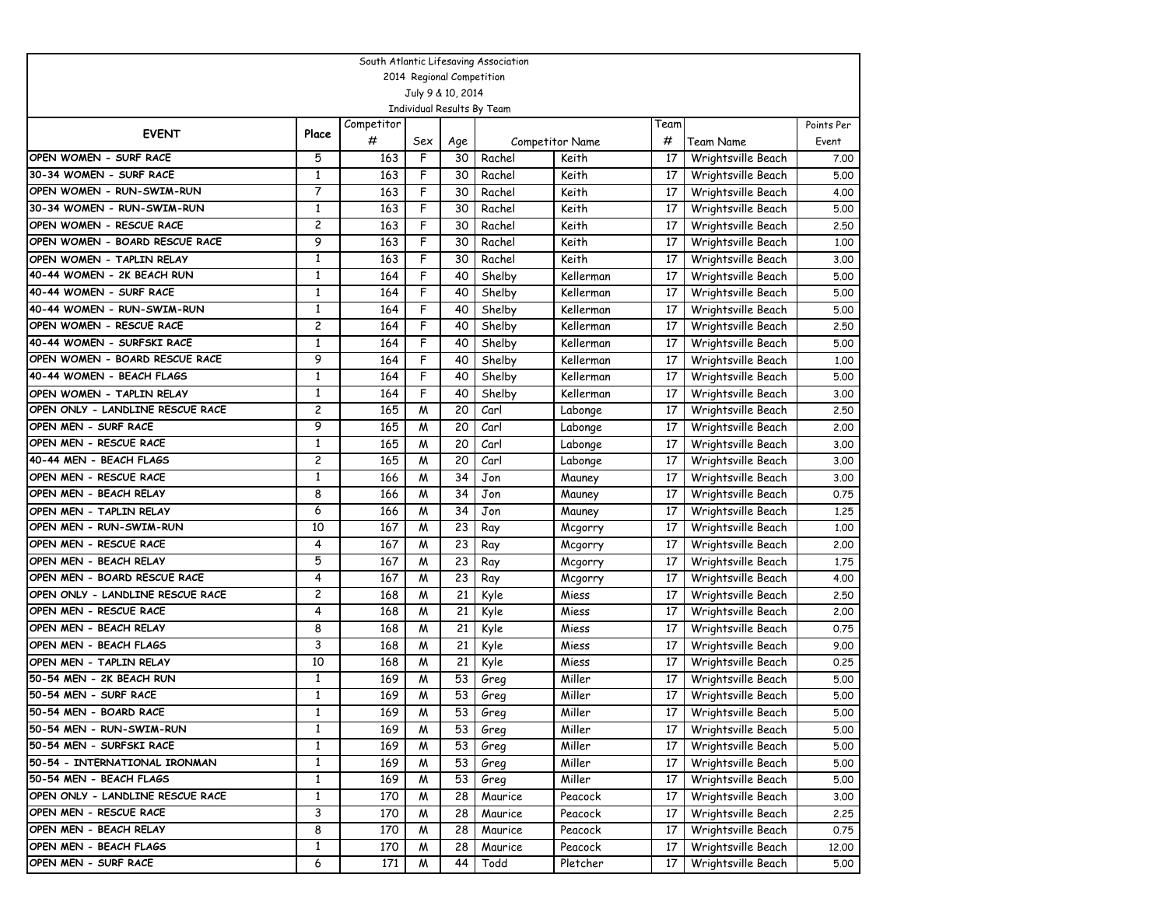| South Atlantic Lifesaving Association |              |            |                |     |         |                        |      |                    |            |  |  |
|---------------------------------------|--------------|------------|----------------|-----|---------|------------------------|------|--------------------|------------|--|--|
| 2014 Regional Competition             |              |            |                |     |         |                        |      |                    |            |  |  |
| July 9 & 10, 2014                     |              |            |                |     |         |                        |      |                    |            |  |  |
| Individual Results By Team            |              |            |                |     |         |                        |      |                    |            |  |  |
| <b>EVENT</b>                          | Place        | Competitor |                |     |         |                        | Team |                    | Points Per |  |  |
|                                       |              | #          | Sex            | Age |         | <b>Competitor Name</b> | #    | <b>Team Name</b>   | Event      |  |  |
| OPEN WOMEN - SURF RACE                | 5            | 163        | F              | 30  | Rachel  | Keith                  | 17   | Wrightsville Beach | 7.00       |  |  |
| 30-34 WOMEN - SURF RACE               | 1            | 163        | F              | 30  | Rachel  | Keith                  | 17   | Wrightsville Beach | 5.00       |  |  |
| OPEN WOMEN - RUN-SWIM-RUN             | 7            | 163        | F              | 30  | Rachel  | Keith                  | 17   | Wrightsville Beach | 4.00       |  |  |
| 30-34 WOMEN - RUN-SWIM-RUN            | $\mathbf{1}$ | 163        | F              | 30  | Rachel  | Keith                  | 17   | Wrightsville Beach | 5.00       |  |  |
| OPEN WOMEN - RESCUE RACE              | 2            | 163        | F              | 30  | Rachel  | Keith                  | 17   | Wrightsville Beach | 2.50       |  |  |
| OPEN WOMEN - BOARD RESCUE RACE        | 9            | 163        | F              | 30  | Rachel  | Keith                  | 17   | Wrightsville Beach | 1.00       |  |  |
| OPEN WOMEN - TAPLIN RELAY             | 1            | 163        | F              | 30  | Rachel  | Keith                  | 17   | Wrightsville Beach | 3.00       |  |  |
| 40-44 WOMEN - 2K BEACH RUN            | $\mathbf{1}$ | 164        | F              | 40  | Shelby  | Kellerman              | 17   | Wrightsville Beach | 5.00       |  |  |
| 40-44 WOMEN - SURF RACE               | $\mathbf{1}$ | 164        | F              | 40  | Shelby  | Kellerman              | 17   | Wrightsville Beach | 5.00       |  |  |
| 40-44 WOMEN - RUN-SWIM-RUN            | 1            | 164        | F              | 40  | Shelby  | Kellerman              | 17   | Wrightsville Beach | 5.00       |  |  |
| OPEN WOMEN - RESCUE RACE              | 2            | 164        | F              | 40  | Shelby  | Kellerman              | 17   | Wrightsville Beach | 2.50       |  |  |
| 40-44 WOMEN - SURFSKI RACE            | $\mathbf{1}$ | 164        | F              | 40  | Shelby  | Kellerman              | 17   | Wrightsville Beach | 5.00       |  |  |
| OPEN WOMEN - BOARD RESCUE RACE        | 9            | 164        | F              | 40  | Shelby  | Kellerman              | 17   | Wrightsville Beach | 1,00       |  |  |
| 40-44 WOMEN - BEACH FLAGS             | $\mathbf{1}$ | 164        | F              | 40  | Shelby  | Kellerman              | 17   | Wrightsville Beach | 5.00       |  |  |
| OPEN WOMEN - TAPLIN RELAY             | $\mathbf{1}$ | 164        | F              | 40  | Shelby  | Kellerman              | 17   | Wrightsville Beach | 3.00       |  |  |
| OPEN ONLY - LANDLINE RESCUE RACE      | 2            | 165        | M              | 20  | Carl    | Labonge                | 17   | Wrightsville Beach | 2.50       |  |  |
| OPEN MEN - SURF RACE                  | 9            | 165        | M              | 20  | Carl    | Labonge                | 17   | Wrightsville Beach | 2.00       |  |  |
| OPEN MEN - RESCUE RACE                | $\mathbf{1}$ | 165        | M              | 20  | Carl    | Labonge                | 17   | Wrightsville Beach | 3.00       |  |  |
| 40-44 MEN - BEACH FLAGS               | 2            | 165        | M              | 20  | Carl    | Labonge                | 17   | Wrightsville Beach | 3.00       |  |  |
| OPEN MEN - RESCUE RACE                | 1            | 166        | M              | 34  | Jon     | Mauney                 | 17   | Wrightsville Beach | 3.00       |  |  |
| OPEN MEN - BEACH RELAY                | 8            | 166        | M              | 34  | Jon     | Mauney                 | 17   | Wrightsville Beach | 0.75       |  |  |
| OPEN MEN - TAPLIN RELAY               | 6            | 166        | M              | 34  | Jon     | Mauney                 | 17   | Wrightsville Beach | 1,25       |  |  |
| OPEN MEN - RUN-SWIM-RUN               | 10           | 167        | M              | 23  | Ray     | Mcgorry                | 17   | Wrightsville Beach | 1,00       |  |  |
| OPEN MEN - RESCUE RACE                | 4            | 167        | M              | 23  | Ray     | Mcgorry                | 17   | Wrightsville Beach | 2.00       |  |  |
| OPEN MEN - BEACH RELAY                | 5            | 167        | M              | 23  | Ray     | Mcgorry                | 17   | Wrightsville Beach | 1.75       |  |  |
| OPEN MEN - BOARD RESCUE RACE          | 4            | 167        | M              | 23  | Ray     | Mcgorry                | 17   | Wrightsville Beach | 4.00       |  |  |
| OPEN ONLY - LANDLINE RESCUE RACE      | 2            | 168        | M              | 21  | Kyle    | Miess                  | 17   | Wrightsville Beach | 2.50       |  |  |
| OPEN MEN - RESCUE RACE                | 4            | 168        | M              | 21  | Kyle    | Miess                  | 17   | Wrightsville Beach | 2.00       |  |  |
| OPEN MEN - BEACH RELAY                | 8            | 168        | M              | 21  | Kyle    | Miess                  | 17   | Wrightsville Beach | 0.75       |  |  |
| OPEN MEN - BEACH FLAGS                | 3            | 168        | M              | 21  | Kyle    | Miess                  | 17   | Wrightsville Beach | 9.00       |  |  |
| OPEN MEN - TAPLIN RELAY               | 10           | 168        | M              | 21  | Kyle    | Miess                  | 17   | Wrightsville Beach | 0.25       |  |  |
| 50-54 MEN - 2K BEACH RUN              | 1            | 169        | M              | 53  | Greg    | Miller                 | 17   | Wrightsville Beach | 5.00       |  |  |
| 50-54 MEN - SURF RACE                 | $\mathbf{1}$ | 169        | M              | 53  | Greg    | Miller                 | 17   | Wrightsville Beach | 5.00       |  |  |
| 50-54 MEN - BOARD RACE                | 1            | 169        | $\overline{M}$ | 53  | Greg    | Miller                 | 17   | Wrightsville Beach | 5.00       |  |  |
| 50-54 MEN - RUN-SWIM-RUN              | 1            | 169        | M              | 53  | Greg    | Miller                 | 17   | Wrightsville Beach | 5.00       |  |  |
| 50-54 MEN - SURFSKI RACE              | 1            | 169        | M              | 53  | Greg    | Miller                 | 17   | Wrightsville Beach | 5.00       |  |  |
| 50-54 - INTERNATIONAL IRONMAN         | 1            | 169        | M              | 53  | Greg    | Miller                 | 17   | Wrightsville Beach | 5.00       |  |  |
| 50-54 MEN - BEACH FLAGS               | $\mathbf{1}$ | 169        | M              | 53  | Greg    | Miller                 | 17   | Wrightsville Beach | 5.00       |  |  |
| OPEN ONLY - LANDLINE RESCUE RACE      | $\mathbf{1}$ | 170        | M              | 28  | Maurice | Peacock                | 17   | Wrightsville Beach | 3.00       |  |  |
| OPEN MEN - RESCUE RACE                | 3            | 170        | M              | 28  | Maurice | Peacock                | 17   | Wrightsville Beach | 2.25       |  |  |
| OPEN MEN - BEACH RELAY                | 8            | 170        | M              | 28  | Maurice | Peacock                | 17   | Wrightsville Beach | 0.75       |  |  |
| OPEN MEN - BEACH FLAGS                | $\mathbf{1}$ | 170        | M              | 28  | Maurice | Peacock                | 17   | Wrightsville Beach | 12.00      |  |  |
| OPEN MEN - SURF RACE                  | 6            | 171        | M              | 44  | Todd    | Pletcher               | 17   | Wrightsville Beach | 5.00       |  |  |